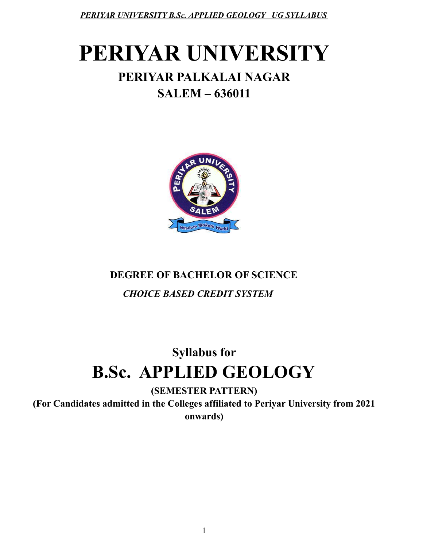# **PERIYAR UNIVERSITY**

# **PERIYAR PALKALAI NAGAR SALEM – 636011**



# **DEGREE OF BACHELOR OF SCIENCE** *CHOICE BASED CREDIT SYSTEM*

# **Syllabus for B.Sc. APPLIED GEOLOGY**

**(SEMESTER PATTERN)**

**(For Candidates admitted in the Colleges affiliated to Periyar University from 2021 onwards)**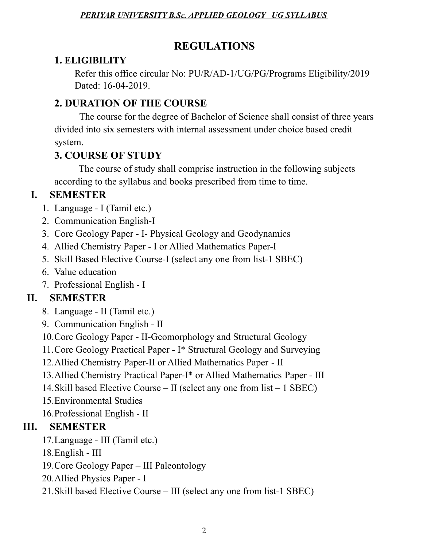# **REGULATIONS**

# **1. ELIGIBILITY**

Refer this office circular No: PU/R/AD-1/UG/PG/Programs Eligibility/2019 Dated: 16-04-2019.

# **2. DURATION OF THE COURSE**

The course for the degree of Bachelor of Science shall consist of three years divided into six semesters with internal assessment under choice based credit system.

# **3. COURSE OF STUDY**

The course of study shall comprise instruction in the following subjects according to the syllabus and books prescribed from time to time.

# **I. SEMESTER**

- 1. Language I (Tamil etc.)
- 2. Communication English-I
- 3. Core Geology Paper I- Physical Geology and Geodynamics
- 4. Allied Chemistry Paper I or Allied Mathematics Paper-I
- 5. Skill Based Elective Course-I (select any one from list-1 SBEC)
- 6. Value education
- 7. Professional English I

# **II. SEMESTER**

- 8. Language II (Tamil etc.)
- 9. Communication English II
- 10.Core Geology Paper II-Geomorphology and Structural Geology
- 11.Core Geology Practical Paper I\* Structural Geology and Surveying
- 12.Allied Chemistry Paper-II or Allied Mathematics Paper II
- 13.Allied Chemistry Practical Paper-I\* or Allied Mathematics Paper III
- 14.Skill based Elective Course II (select any one from list 1 SBEC)
- 15.Environmental Studies
- 16.Professional English II

# **III. SEMESTER**

- 17.Language III (Tamil etc.)
- 18.English III
- 19.Core Geology Paper III Paleontology
- 20.Allied Physics Paper I
- 21.Skill based Elective Course III (select any one from list-1 SBEC)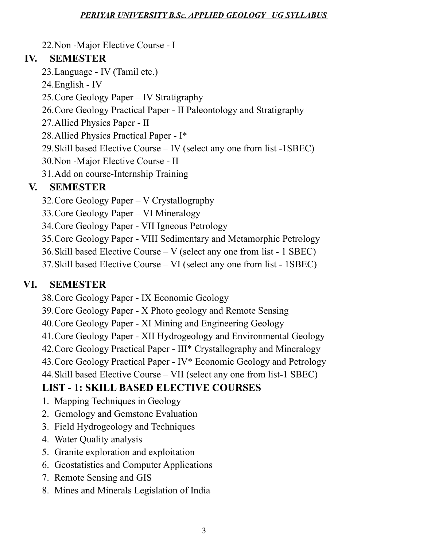22.Non -Major Elective Course - I

# **IV. SEMESTER**

- 23.Language IV (Tamil etc.)
- 24.English IV
- 25.Core Geology Paper IV Stratigraphy
- 26.Core Geology Practical Paper II Paleontology and Stratigraphy
- 27.Allied Physics Paper II
- 28.Allied Physics Practical Paper I\*
- 29.Skill based Elective Course IV (select any one from list -1SBEC)
- 30.Non -Major Elective Course II
- 31.Add on course-Internship Training

# **V. SEMESTER**

- 32.Core Geology Paper V Crystallography
- 33.Core Geology Paper VI Mineralogy
- 34.Core Geology Paper VII Igneous Petrology
- 35.Core Geology Paper VIII Sedimentary and Metamorphic Petrology
- 36.Skill based Elective Course V (select any one from list 1 SBEC)
- 37.Skill based Elective Course VI (select any one from list 1SBEC)

# **VI. SEMESTER**

- 38.Core Geology Paper IX Economic Geology
- 39.Core Geology Paper X Photo geology and Remote Sensing
- 40.Core Geology Paper XI Mining and Engineering Geology
- 41.Core Geology Paper XII Hydrogeology and Environmental Geology
- 42.Core Geology Practical Paper III\* Crystallography and Mineralogy
- 43.Core Geology Practical Paper IV\* Economic Geology and Petrology
- 44.Skill based Elective Course VII (select any one from list-1 SBEC)

# **LIST - 1: SKILL BASED ELECTIVE COURSES**

- 1. Mapping Techniques in Geology
- 2. Gemology and Gemstone Evaluation
- 3. Field Hydrogeology and Techniques
- 4. Water Quality analysis
- 5. Granite exploration and exploitation
- 6. Geostatistics and Computer Applications
- 7. Remote Sensing and GIS
- 8. Mines and Minerals Legislation of India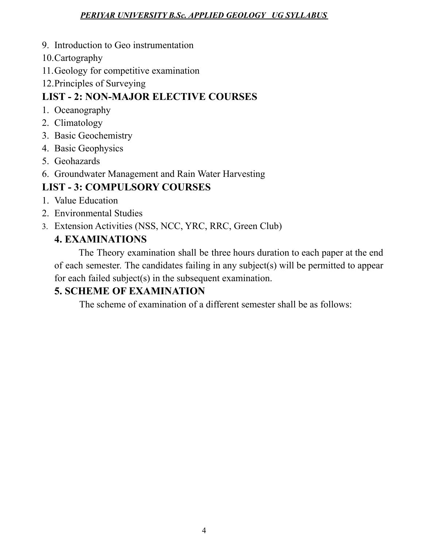- 9. Introduction to Geo instrumentation
- 10.Cartography
- 11.Geology for competitive examination
- 12.Principles of Surveying

# **LIST - 2: NON-MAJOR ELECTIVE COURSES**

- 1. Oceanography
- 2. Climatology
- 3. Basic Geochemistry
- 4. Basic Geophysics
- 5. Geohazards
- 6. Groundwater Management and Rain Water Harvesting

# **LIST - 3: COMPULSORY COURSES**

- 1. Value Education
- 2. Environmental Studies
- 3. Extension Activities (NSS, NCC, YRC, RRC, Green Club)

# **4. EXAMINATIONS**

The Theory examination shall be three hours duration to each paper at the end of each semester. The candidates failing in any subject(s) will be permitted to appear for each failed subject(s) in the subsequent examination.

# **5. SCHEME OF EXAMINATION**

The scheme of examination of a different semester shall be as follows: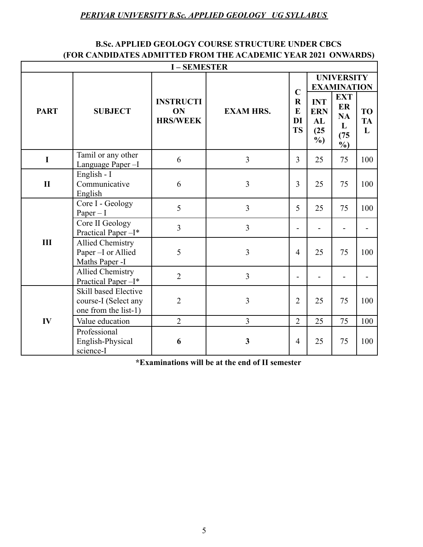#### **B.Sc. APPLIED GEOLOGY COURSE STRUCTURE UNDER CBCS (FOR CANDIDATES ADMITTED FROM THE ACADEMIC YEAR 2021 ONWARDS)**

| <b>I-SEMESTER</b> |                                                                      |                                           |                  |                                                |                                                  |                                                             |                             |  |
|-------------------|----------------------------------------------------------------------|-------------------------------------------|------------------|------------------------------------------------|--------------------------------------------------|-------------------------------------------------------------|-----------------------------|--|
|                   | <b>SUBJECT</b>                                                       |                                           |                  | $\mathbf C$<br>$\bf R$<br>E<br>DI<br><b>TS</b> | <b>UNIVERSITY</b><br><b>EXAMINATION</b>          |                                                             |                             |  |
| <b>PART</b>       |                                                                      | <b>INSTRUCTI</b><br>ON<br><b>HRS/WEEK</b> | <b>EXAM HRS.</b> |                                                | <b>INT</b><br><b>ERN</b><br>AL<br>(25)<br>$\%$ ) | <b>EXT</b><br>ER<br><b>NA</b><br>L<br>(75)<br>$\frac{6}{2}$ | <b>TO</b><br><b>TA</b><br>L |  |
| I                 | Tamil or any other<br>Language Paper-I                               | 6                                         | $\overline{3}$   | $\overline{3}$                                 | 25                                               | 75                                                          | 100                         |  |
| $\mathbf{I}$      | English - I<br>Communicative<br>English                              | 6                                         | 3                | $\overline{3}$                                 | 25                                               | 75                                                          | 100                         |  |
|                   | Core I - Geology<br>$Paper - I$                                      | 5                                         | $\overline{3}$   | 5                                              | 25                                               | 75                                                          | 100                         |  |
|                   | Core II Geology<br>Practical Paper-I*                                | $\overline{3}$                            | $\overline{3}$   | $\overline{\phantom{0}}$                       |                                                  | $\overline{\phantom{0}}$                                    |                             |  |
| III               | <b>Allied Chemistry</b><br>Paper -I or Allied<br>Maths Paper -I      | 5                                         | 3                | $\overline{4}$                                 | 25                                               | 75                                                          | 100                         |  |
|                   | <b>Allied Chemistry</b><br>Practical Paper-I*                        | $\overline{2}$                            | 3                | -                                              |                                                  | $\overline{\phantom{a}}$                                    |                             |  |
|                   | Skill based Elective<br>course-I (Select any<br>one from the list-1) | $\overline{2}$                            | 3                | $\overline{2}$                                 | 25                                               | 75                                                          | 100                         |  |
| IV                | Value education                                                      | $\overline{2}$                            | $\overline{3}$   | $\overline{2}$                                 | 25                                               | 75                                                          | 100                         |  |
|                   | Professional<br>English-Physical<br>science-I                        | 6                                         | $\mathbf{3}$     | $\overline{4}$                                 | 25                                               | 75                                                          | 100                         |  |

**\*Examinations will be at the end of II semester**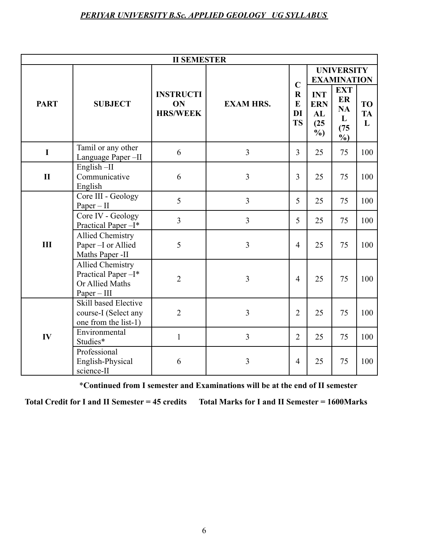| <b>II SEMESTER</b> |                                                                                   |                                           |                  |                                                           |                                                  |                                                             |                             |  |
|--------------------|-----------------------------------------------------------------------------------|-------------------------------------------|------------------|-----------------------------------------------------------|--------------------------------------------------|-------------------------------------------------------------|-----------------------------|--|
|                    | <b>SUBJECT</b>                                                                    |                                           |                  | $\mathbf C$<br>$\mathbf R$<br>$\bf{E}$<br>DI<br><b>TS</b> | <b>UNIVERSITY</b><br><b>EXAMINATION</b>          |                                                             |                             |  |
| <b>PART</b>        |                                                                                   | <b>INSTRUCTI</b><br>ON<br><b>HRS/WEEK</b> | <b>EXAM HRS.</b> |                                                           | <b>INT</b><br><b>ERN</b><br>AL<br>(25)<br>$\%$ ) | <b>EXT</b><br>ER<br><b>NA</b><br>L<br>(75)<br>$\frac{6}{9}$ | <b>TO</b><br><b>TA</b><br>L |  |
| $\mathbf I$        | Tamil or any other<br>Language Paper-II                                           | 6                                         | $\overline{3}$   | $\overline{3}$                                            | 25                                               | 75                                                          | 100                         |  |
| $\mathbf{I}$       | English-II<br>Communicative<br>English                                            | 6                                         | $\overline{3}$   | $\overline{3}$                                            | 25                                               | 75                                                          | 100                         |  |
|                    | Core III - Geology<br>$Paper - II$                                                | 5                                         | $\overline{3}$   | 5                                                         | 25                                               | 75                                                          | 100                         |  |
|                    | Core IV - Geology<br>Practical Paper-I*                                           | $\overline{3}$                            | $\overline{3}$   | 5                                                         | 25                                               | 75                                                          | 100                         |  |
| III                | <b>Allied Chemistry</b><br>Paper-I or Allied<br>Maths Paper -II                   | 5                                         | 3                | $\overline{4}$                                            | 25                                               | 75                                                          | 100                         |  |
|                    | <b>Allied Chemistry</b><br>Practical Paper-I*<br>Or Allied Maths<br>$Paper - III$ | $\overline{2}$                            | 3                | $\overline{4}$                                            | 25                                               | 75                                                          | 100                         |  |
|                    | <b>Skill based Elective</b><br>course-I (Select any<br>one from the list-1)       | $\overline{2}$                            | 3                | 2                                                         | 25                                               | 75                                                          | 100                         |  |
| IV                 | Environmental<br>Studies*                                                         | $\mathbf{1}$                              | 3                | $\overline{2}$                                            | 25                                               | 75                                                          | 100                         |  |
|                    | Professional<br>English-Physical<br>science-II                                    | 6                                         | 3                | 4                                                         | 25                                               | 75                                                          | 100                         |  |

\***Continued from I semester and Examinations will be at the end of II semester**

**Total Credit for I and II Semester = 45 credits Total Marks for I and II Semester = 1600Marks**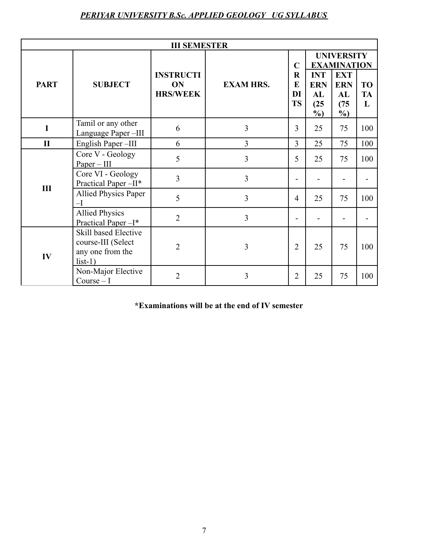| <b>III SEMESTER</b> |                                                                             |                                           |                  |                                                    |                                                  |                                                                                             |                             |  |
|---------------------|-----------------------------------------------------------------------------|-------------------------------------------|------------------|----------------------------------------------------|--------------------------------------------------|---------------------------------------------------------------------------------------------|-----------------------------|--|
| <b>PART</b>         | <b>SUBJECT</b>                                                              | <b>INSTRUCTI</b><br>ON<br><b>HRS/WEEK</b> | <b>EXAM HRS.</b> | $\mathbf C$<br>$\mathbf R$<br>E<br>DI<br><b>TS</b> | <b>INT</b><br><b>ERN</b><br>AL<br>(25)<br>$\%$ ) | <b>UNIVERSITY</b><br><b>EXAMINATION</b><br><b>EXT</b><br><b>ERN</b><br>AL<br>(75)<br>$\%$ ) | <b>TO</b><br><b>TA</b><br>L |  |
| $\mathbf I$         | Tamil or any other<br>Language Paper-III                                    | 6                                         | $\overline{3}$   | $\overline{3}$                                     | 25                                               | 75                                                                                          | 100                         |  |
| $\mathbf{I}$        | English Paper-III                                                           | 6                                         | 3                | $\overline{3}$                                     | 25                                               | 75                                                                                          | 100                         |  |
| III                 | Core V - Geology<br>$Paper - III$                                           | 5                                         | 3                | 5                                                  | 25                                               | 75                                                                                          | 100                         |  |
|                     | Core VI - Geology<br>Practical Paper-II*                                    | $\overline{3}$                            | 3                |                                                    |                                                  |                                                                                             |                             |  |
|                     | <b>Allied Physics Paper</b><br>$-\mathbf{I}$                                | 5                                         | 3                | $\overline{4}$                                     | 25                                               | 75                                                                                          | 100                         |  |
|                     | <b>Allied Physics</b><br>Practical Paper-I*                                 | $\overline{2}$                            | $\overline{3}$   |                                                    |                                                  |                                                                                             |                             |  |
| IV                  | Skill based Elective<br>course-III (Select<br>any one from the<br>$list-1)$ | $\overline{2}$                            | 3                | $\overline{2}$                                     | 25                                               | 75                                                                                          | 100                         |  |
|                     | Non-Major Elective<br>$Course-I$                                            | $\overline{2}$                            | 3                | $\overline{2}$                                     | 25                                               | 75                                                                                          | 100                         |  |

**\*Examinations will be at the end of IV semester**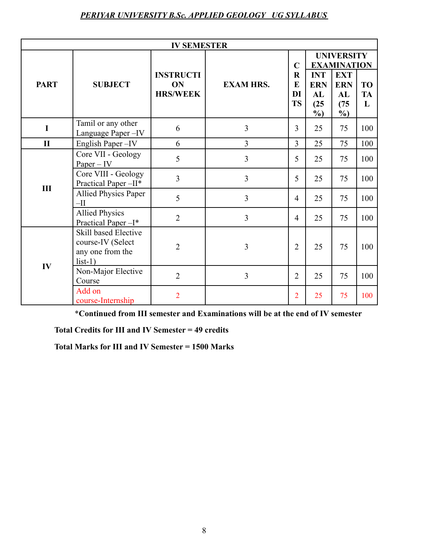| <b>IV SEMESTER</b> |                                                                            |                                           |                  |                                                    |                                                  |                                                                                             |                             |  |
|--------------------|----------------------------------------------------------------------------|-------------------------------------------|------------------|----------------------------------------------------|--------------------------------------------------|---------------------------------------------------------------------------------------------|-----------------------------|--|
| <b>PART</b>        | <b>SUBJECT</b>                                                             | <b>INSTRUCTI</b><br>ON<br><b>HRS/WEEK</b> | <b>EXAM HRS.</b> | $\mathbf C$<br>$\mathbf R$<br>E<br>DI<br><b>TS</b> | <b>INT</b><br><b>ERN</b><br>AL<br>(25)<br>$\%$ ) | <b>UNIVERSITY</b><br><b>EXAMINATION</b><br><b>EXT</b><br><b>ERN</b><br>AL<br>(75)<br>$\%$ ) | <b>TO</b><br><b>TA</b><br>L |  |
| $\mathbf I$        | Tamil or any other<br>Language Paper-IV                                    | 6                                         | $\overline{3}$   | $\overline{3}$                                     | 25                                               | 75                                                                                          | 100                         |  |
| $\mathbf{I}$       | English Paper-IV                                                           | 6                                         | $\overline{3}$   | $\overline{3}$                                     | 25                                               | 75                                                                                          | 100                         |  |
| III                | Core VII - Geology<br>$Paper - IV$                                         | 5                                         | $\overline{3}$   | 5                                                  | 25                                               | 75                                                                                          | 100                         |  |
|                    | Core VIII - Geology<br>Practical Paper-II*                                 | $\overline{3}$                            | $\overline{3}$   | 5                                                  | 25                                               | 75                                                                                          | 100                         |  |
|                    | <b>Allied Physics Paper</b><br>$-II$                                       | 5                                         | $\overline{3}$   | $\overline{4}$                                     | 25                                               | 75                                                                                          | 100                         |  |
|                    | <b>Allied Physics</b><br>Practical Paper-I*                                | $\overline{2}$                            | $\overline{3}$   | $\overline{4}$                                     | 25                                               | 75                                                                                          | 100                         |  |
| IV                 | Skill based Elective<br>course-IV (Select<br>any one from the<br>$list-1)$ | $\overline{2}$                            | 3                | $\overline{2}$                                     | 25                                               | 75                                                                                          | 100                         |  |
|                    | Non-Major Elective<br>Course                                               | $\overline{2}$                            | $\overline{3}$   | $\overline{2}$                                     | 25                                               | 75                                                                                          | 100                         |  |
|                    | Add on<br>course-Internship                                                | $\overline{2}$                            |                  | $\overline{2}$                                     | 25                                               | 75                                                                                          | 100                         |  |

\***Continued from III semester and Examinations will be at the end of IV semester**

**Total Credits for III and IV Semester = 49 credits**

**Total Marks for III and IV Semester = 1500 Marks**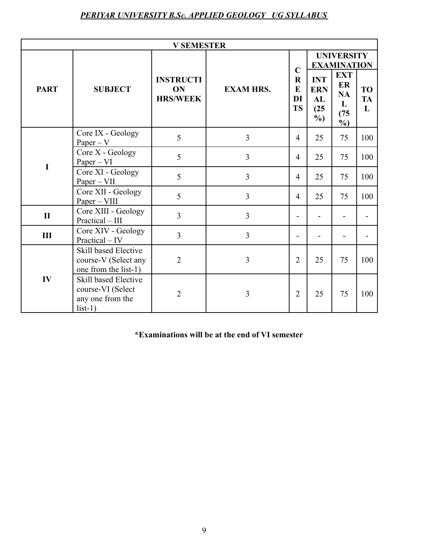| <b>V SEMESTER</b> |                                                                            |                        |                  |                                 |                          |                                                             |                |
|-------------------|----------------------------------------------------------------------------|------------------------|------------------|---------------------------------|--------------------------|-------------------------------------------------------------|----------------|
| <b>PART</b>       | <b>SUBJECT</b>                                                             | <b>INSTRUCTI</b><br>ON | <b>EXAM HRS.</b> | $\mathbf C$<br>$\mathbf R$<br>E | <b>INT</b><br><b>ERN</b> | <b>UNIVERSITY</b><br><b>EXAMINATION</b><br><b>EXT</b><br>ER | <b>TO</b>      |
|                   |                                                                            | <b>HRS/WEEK</b>        |                  | DI<br><b>TS</b>                 | AL<br>(25)<br>$\%$ )     | <b>NA</b><br>L<br>(75)<br>$\%$ )                            | <b>TA</b><br>L |
|                   | Core IX - Geology<br>$Paper - V$                                           | 5                      | $\overline{3}$   | $\overline{4}$                  | 25                       | 75                                                          | 100            |
| $\mathbf I$       | Core X - Geology<br>$Paper - VI$                                           | 5                      | 3                | $\overline{4}$                  | 25                       | 75                                                          | 100            |
|                   | Core XI - Geology<br>$Paper - VII$                                         | 5                      | $\overline{3}$   | $\overline{4}$                  | 25                       | 75                                                          | 100            |
|                   | Core XII - Geology<br>$Paper - VIII$                                       | 5                      | 3                | $\overline{4}$                  | 25                       | 75                                                          | 100            |
| $\mathbf{I}$      | Core XIII - Geology<br>Practical - III                                     | 3                      | 3                | Ξ.                              |                          | $\blacksquare$                                              |                |
| III               | Core XIV - Geology<br>Practical – IV                                       | $\overline{3}$         | $\overline{3}$   | -                               |                          |                                                             |                |
| IV                | Skill based Elective<br>course-V (Select any<br>one from the list-1)       | $\overline{2}$         | 3                | $\overline{2}$                  | 25                       | 75                                                          | 100            |
|                   | Skill based Elective<br>course-VI (Select<br>any one from the<br>$list-1)$ | $\overline{2}$         | 3                | $\overline{2}$                  | 25                       | 75                                                          | 100            |

**\*Examinations will be at the end of VI semester**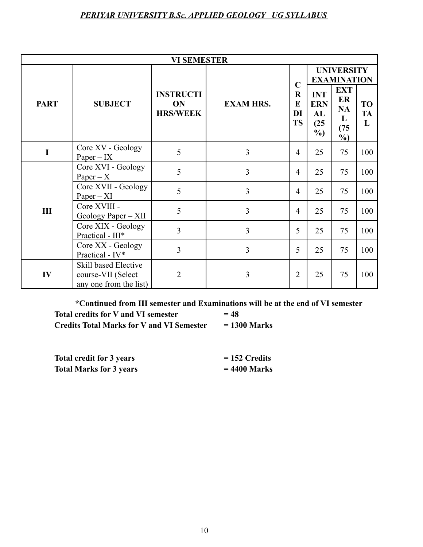| <b>VI SEMESTER</b> |                                                                      |                                           |                  |                                                |                                                |                                                             |                             |  |
|--------------------|----------------------------------------------------------------------|-------------------------------------------|------------------|------------------------------------------------|------------------------------------------------|-------------------------------------------------------------|-----------------------------|--|
|                    | <b>SUBJECT</b>                                                       |                                           |                  | $\mathbf C$<br>$\bf R$<br>E<br>DI<br><b>TS</b> | <b>UNIVERSITY</b><br><b>EXAMINATION</b>        |                                                             |                             |  |
| <b>PART</b>        |                                                                      | <b>INSTRUCTI</b><br>ON<br><b>HRS/WEEK</b> | <b>EXAM HRS.</b> |                                                | <b>INT</b><br><b>ERN</b><br>AL<br>(25)<br>$\%$ | <b>EXT</b><br>ER<br><b>NA</b><br>L<br>(75)<br>$\frac{0}{0}$ | <b>TO</b><br><b>TA</b><br>L |  |
| $\mathbf I$        | Core XV - Geology<br>$Paper - IX$                                    | 5                                         | 3                | 4                                              | 25                                             | 75                                                          | 100                         |  |
|                    | Core XVI - Geology<br>Paper – $X$                                    | 5                                         | 3                | $\overline{4}$                                 | 25                                             | 75                                                          | 100                         |  |
|                    | Core XVII - Geology<br>$Paper - XI$                                  | 5                                         | $\overline{3}$   | $\overline{4}$                                 | 25                                             | 75                                                          | 100                         |  |
| III                | Core XVIII -<br>Geology Paper - XII                                  | 5                                         | 3                | $\overline{4}$                                 | 25                                             | 75                                                          | 100                         |  |
|                    | Core XIX - Geology<br>Practical - III*                               | $\overline{3}$                            | 3                | 5                                              | 25                                             | 75                                                          | 100                         |  |
|                    | Core XX - Geology<br>Practical - IV*                                 | 3                                         | 3                | 5                                              | 25                                             | 75                                                          | 100                         |  |
| IV                 | Skill based Elective<br>course-VII (Select<br>any one from the list) | $\overline{2}$                            | 3                | $\overline{2}$                                 | 25                                             | 75                                                          | 100                         |  |

**\*Continued from III semester and Examinations will be at the end of VI semester Total credits for V and VI semester = 48 Credits Total Marks for V and VI Semester = 1300 Marks**

| <b>Total credit for 3 years</b> | $= 152$ Credits |
|---------------------------------|-----------------|
| <b>Total Marks for 3 years</b>  | $= 4400$ Marks  |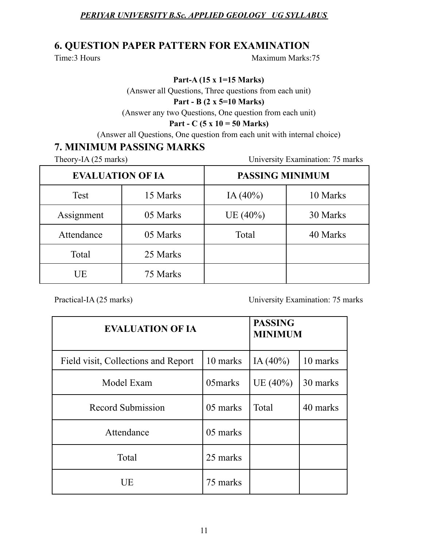### **6. QUESTION PAPER PATTERN FOR EXAMINATION**

Time:3 Hours Maximum Marks:75

**Part-A (15 x 1=15 Marks)**

(Answer all Questions, Three questions from each unit)

#### **Part - B (2 x 5=10 Marks)**

(Answer any two Questions, One question from each unit)

#### **Part - C (5 x 10 = 50 Marks)**

(Answer all Questions, One question from each unit with internal choice)

### **7. MINIMUM PASSING MARKS**

Theory-IA (25 marks) University Examination: 75 marks

| <b>EVALUATION OF IA</b> |          | <b>PASSING MINIMUM</b> |          |  |
|-------------------------|----------|------------------------|----------|--|
| Test                    | 15 Marks | IA $(40\%)$            | 10 Marks |  |
| Assignment              | 05 Marks | UE(40%)                | 30 Marks |  |
| Attendance              | 05 Marks | Total                  | 40 Marks |  |
| Total                   | 25 Marks |                        |          |  |
| UE                      | 75 Marks |                        |          |  |

Practical-IA (25 marks) University Examination: 75 marks

| <b>EVALUATION OF IA</b>             |          | <b>PASSING</b><br><b>MINIMUM</b> |          |  |
|-------------------------------------|----------|----------------------------------|----------|--|
| Field visit, Collections and Report | 10 marks | IA $(40\%)$                      | 10 marks |  |
| Model Exam                          | 05marks  | UE $(40\%)$                      | 30 marks |  |
| Record Submission                   | 05 marks | Total                            | 40 marks |  |
| Attendance                          | 05 marks |                                  |          |  |
| Total                               | 25 marks |                                  |          |  |
| UE                                  | 75 marks |                                  |          |  |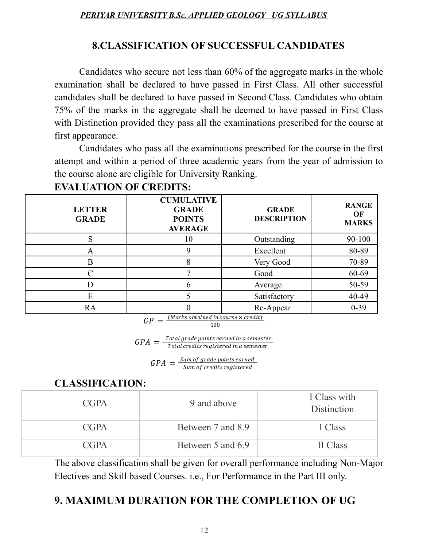# **8.CLASSIFICATION OF SUCCESSFUL CANDIDATES**

Candidates who secure not less than 60% of the aggregate marks in the whole examination shall be declared to have passed in First Class. All other successful candidates shall be declared to have passed in Second Class. Candidates who obtain 75% of the marks in the aggregate shall be deemed to have passed in First Class with Distinction provided they pass all the examinations prescribed for the course at first appearance.

Candidates who pass all the examinations prescribed for the course in the first attempt and within a period of three academic years from the year of admission to the course alone are eligible for University Ranking.

| <b>LETTER</b><br><b>GRADE</b> | <b>CUMULATIVE</b><br><b>GRADE</b><br><b>POINTS</b><br><b>AVERAGE</b> | <b>GRADE</b><br><b>DESCRIPTION</b> | <b>RANGE</b><br>OF<br><b>MARKS</b> |
|-------------------------------|----------------------------------------------------------------------|------------------------------------|------------------------------------|
|                               | 10                                                                   | Outstanding                        | 90-100                             |
| A                             | q                                                                    | Excellent                          | 80-89                              |
| B                             | 8                                                                    | Very Good                          | 70-89                              |
|                               |                                                                      | Good                               | 60-69                              |
|                               | b                                                                    | Average                            | 50-59                              |
| E                             |                                                                      | Satisfactory                       | 40-49                              |
| RA                            |                                                                      | Re-Appear                          | $0-39$                             |

# **EVALUATION OF CREDITS:**

 $GP = \frac{(Marks obtained in course \times credit)}{100}$ 100

 $GPA = \frac{Total\ grade\ points\ earned\ in\ a\ semester}{Total\ gradients\ realized\ in\ a\ semester}$ Total credits registered in a semester

> $GPA = \frac{Sum of grade points earned}{Sum of credits realized}$ Sum of credits registered

# **CLASSIFICATION:**

| <b>CGPA</b> | 9 and above       | I Class with<br>Distinction |
|-------------|-------------------|-----------------------------|
| <b>CGPA</b> | Between 7 and 8.9 | I Class                     |
| <b>CGPA</b> | Between 5 and 6.9 | II Class                    |

The above classification shall be given for overall performance including Non-Major Electives and Skill based Courses. i.e., For Performance in the Part III only.

# **9. MAXIMUM DURATION FOR THE COMPLETION OF UG**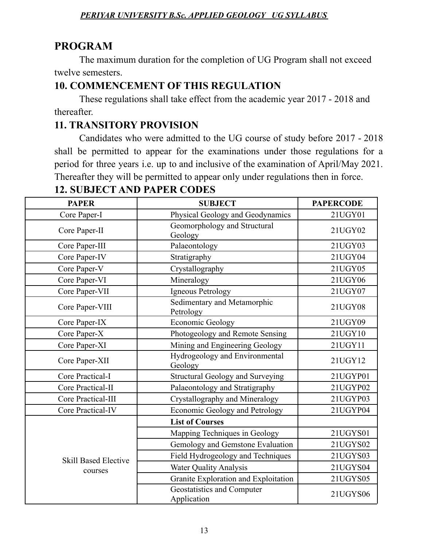# **PROGRAM**

The maximum duration for the completion of UG Program shall not exceed twelve semesters.

# **10. COMMENCEMENT OF THIS REGULATION**

These regulations shall take effect from the academic year 2017 - 2018 and thereafter.

# **11. TRANSITORY PROVISION**

Candidates who were admitted to the UG course of study before 2017 - 2018 shall be permitted to appear for the examinations under those regulations for a period for three years i.e. up to and inclusive of the examination of April/May 2021. Thereafter they will be permitted to appear only under regulations then in force.

| <b>PAPER</b>                | <b>SUBJECT</b>                            | <b>PAPERCODE</b> |
|-----------------------------|-------------------------------------------|------------------|
| Core Paper-I                | Physical Geology and Geodynamics          | 21UGY01          |
| Core Paper-II               | Geomorphology and Structural<br>Geology   | 21UGY02          |
| Core Paper-III              | Palaeontology                             | 21UGY03          |
| Core Paper-IV               | Stratigraphy                              | 21UGY04          |
| Core Paper-V                | Crystallography                           | 21UGY05          |
| Core Paper-VI               | Mineralogy                                | 21UGY06          |
| Core Paper-VII              | Igneous Petrology                         | 21UGY07          |
| Core Paper-VIII             | Sedimentary and Metamorphic<br>Petrology  | 21UGY08          |
| Core Paper-IX               | <b>Economic Geology</b>                   | 21UGY09          |
| Core Paper-X                | Photogeology and Remote Sensing           | 21UGY10          |
| Core Paper-XI               | Mining and Engineering Geology            | 21UGY11          |
| Core Paper-XII              | Hydrogeology and Environmental<br>Geology | 21UGY12          |
| Core Practical-I            | <b>Structural Geology and Surveying</b>   | 21UGYP01         |
| Core Practical-II           | Palaeontology and Stratigraphy            | 21UGYP02         |
| Core Practical-III          | Crystallography and Mineralogy            | 21UGYP03         |
| Core Practical-IV           | Economic Geology and Petrology            | 21UGYP04         |
|                             | <b>List of Courses</b>                    |                  |
|                             | Mapping Techniques in Geology             | 21UGYS01         |
|                             | Gemology and Gemstone Evaluation          | 21UGYS02         |
| <b>Skill Based Elective</b> | Field Hydrogeology and Techniques         | 21UGYS03         |
| courses                     | <b>Water Quality Analysis</b>             | 21UGYS04         |
|                             | Granite Exploration and Exploitation      | 21UGYS05         |
|                             | Geostatistics and Computer<br>Application | 21UGYS06         |

# **12. SUBJECT AND PAPER CODES**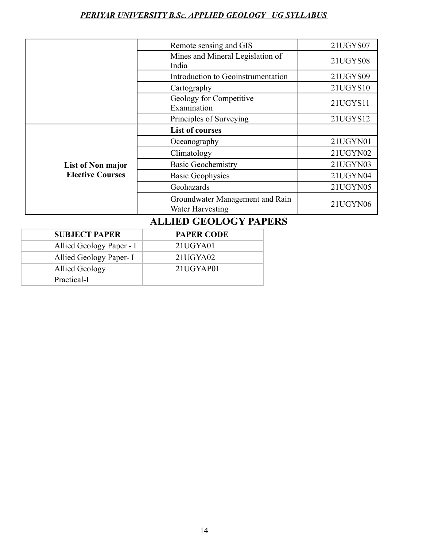|                                              | Remote sensing and GIS                              | 21UGYS07 |
|----------------------------------------------|-----------------------------------------------------|----------|
|                                              | Mines and Mineral Legislation of<br>India           | 21UGYS08 |
|                                              | Introduction to Geoinstrumentation                  | 21UGYS09 |
|                                              | Cartography                                         | 21UGYS10 |
|                                              | Geology for Competitive<br>Examination              | 21UGYS11 |
|                                              | Principles of Surveying                             | 21UGYS12 |
| List of Non major<br><b>Elective Courses</b> | <b>List of courses</b>                              |          |
|                                              | Oceanography                                        | 21UGYN01 |
|                                              | Climatology                                         | 21UGYN02 |
|                                              | <b>Basic Geochemistry</b>                           | 21UGYN03 |
|                                              | <b>Basic Geophysics</b>                             | 21UGYN04 |
|                                              | Geohazards                                          | 21UGYN05 |
|                                              | Groundwater Management and Rain<br>Water Harvesting | 21UGYN06 |

# **ALLIED GEOLOGY PAPERS**

| <b>SUBJECT PAPER</b>     | <b>PAPER CODE</b> |
|--------------------------|-------------------|
| Allied Geology Paper - I | 21UGYA01          |
| Allied Geology Paper- I  | 21UGYA02          |
| Allied Geology           | 21UGYAP01         |
| Practical-I              |                   |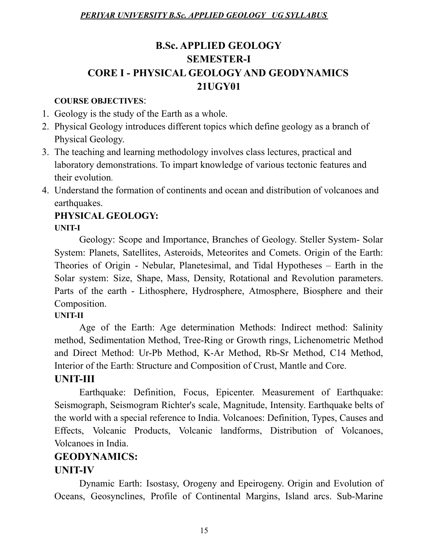# **B.Sc. APPLIED GEOLOGY SEMESTER-I CORE I - PHYSICAL GEOLOGY AND GEODYNAMICS 21UGY01**

#### **COURSE OBJECTIVES**:

- 1. Geology is the study of the Earth as a whole.
- 2. Physical Geology introduces different topics which define geology as a branch of Physical Geology.
- 3. The teaching and learning methodology involves class lectures, practical and laboratory demonstrations. To impart knowledge of various tectonic features and their evolution.
- 4. Understand the formation of continents and ocean and distribution of volcanoes and earthquakes.

# **PHYSICAL GEOLOGY:**

#### **UNIT-I**

Geology: Scope and Importance, Branches of Geology. Steller System- Solar System: Planets, Satellites, Asteroids, Meteorites and Comets. Origin of the Earth: Theories of Origin - Nebular, Planetesimal, and Tidal Hypotheses – Earth in the Solar system: Size, Shape, Mass, Density, Rotational and Revolution parameters. Parts of the earth - Lithosphere, Hydrosphere, Atmosphere, Biosphere and their Composition.

# **UNIT-II**

Age of the Earth: Age determination Methods: Indirect method: Salinity method, Sedimentation Method, Tree-Ring or Growth rings, Lichenometric Method and Direct Method: Ur-Pb Method, K-Ar Method, Rb-Sr Method, C14 Method, Interior of the Earth: Structure and Composition of Crust, Mantle and Core.

# **UNIT-III**

Earthquake: Definition, Focus, Epicenter. Measurement of Earthquake: Seismograph, Seismogram Richter's scale, Magnitude, Intensity. Earthquake belts of the world with a special reference to India. Volcanoes: Definition, Types, Causes and Effects, Volcanic Products, Volcanic landforms, Distribution of Volcanoes, Volcanoes in India.

# **GEODYNAMICS:**

# **UNIT-IV**

Dynamic Earth: Isostasy, Orogeny and Epeirogeny. Origin and Evolution of Oceans, Geosynclines, Profile of Continental Margins, Island arcs. Sub-Marine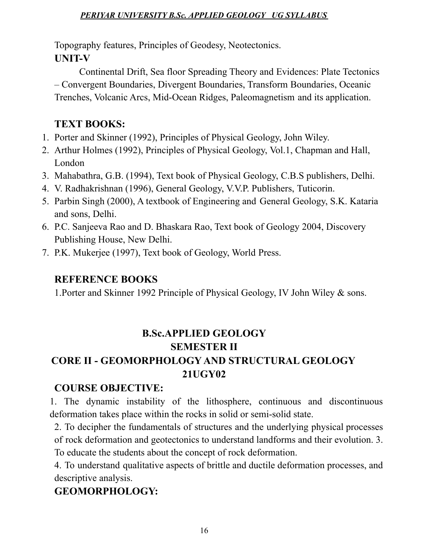Topography features, Principles of Geodesy, Neotectonics. **UNIT-V**

Continental Drift, Sea floor Spreading Theory and Evidences: Plate Tectonics – Convergent Boundaries, Divergent Boundaries, Transform Boundaries, Oceanic Trenches, Volcanic Arcs, Mid-Ocean Ridges, Paleomagnetism and its application.

# **TEXT BOOKS:**

- 1. Porter and Skinner (1992), Principles of Physical Geology, John Wiley.
- 2. Arthur Holmes (1992), Principles of Physical Geology, Vol.1, Chapman and Hall, London
- 3. Mahabathra, G.B. (1994), Text book of Physical Geology, C.B.S publishers, Delhi.
- 4. V. Radhakrishnan (1996), General Geology, V.V.P. Publishers, Tuticorin.
- 5. Parbin Singh (2000), A textbook of Engineering and General Geology, S.K. Kataria and sons, Delhi.
- 6. P.C. Sanjeeva Rao and D. Bhaskara Rao, Text book of Geology 2004, Discovery Publishing House, New Delhi.
- 7. P.K. Mukerjee (1997), Text book of Geology, World Press.

# **REFERENCE BOOKS**

1.Porter and Skinner 1992 Principle of Physical Geology, IV John Wiley & sons.

# **B.Sc.APPLIED GEOLOGY SEMESTER II**

# **CORE II - GEOMORPHOLOGY AND STRUCTURAL GEOLOGY 21UGY02**

# **COURSE OBJECTIVE:**

1. The dynamic instability of the lithosphere, continuous and discontinuous deformation takes place within the rocks in solid or semi-solid state.

2. To decipher the fundamentals of structures and the underlying physical processes of rock deformation and geotectonics to understand landforms and their evolution. 3. To educate the students about the concept of rock deformation.

4. To understand qualitative aspects of brittle and ductile deformation processes, and descriptive analysis.

# **GEOMORPHOLOGY:**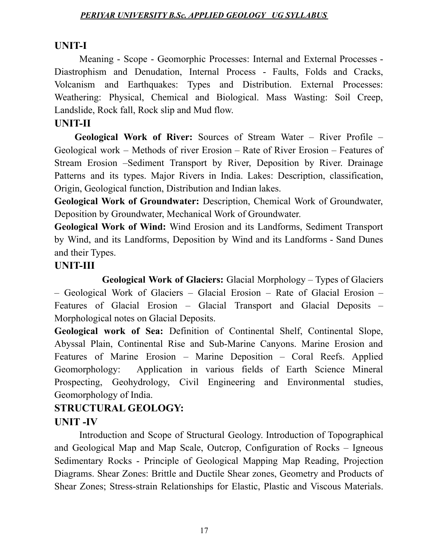# **UNIT-I**

Meaning - Scope - Geomorphic Processes: Internal and External Processes - Diastrophism and Denudation, Internal Process - Faults, Folds and Cracks, Volcanism and Earthquakes: Types and Distribution. External Processes: Weathering: Physical, Chemical and Biological. Mass Wasting: Soil Creep, Landslide, Rock fall, Rock slip and Mud flow.

### **UNIT-II**

**Geological Work of River:** Sources of Stream Water – River Profile – Geological work – Methods of river Erosion – Rate of River Erosion – Features of Stream Erosion –Sediment Transport by River, Deposition by River. Drainage Patterns and its types. Major Rivers in India. Lakes: Description, classification, Origin, Geological function, Distribution and Indian lakes.

**Geological Work of Groundwater:** Description, Chemical Work of Groundwater, Deposition by Groundwater, Mechanical Work of Groundwater.

**Geological Work of Wind:** Wind Erosion and its Landforms, Sediment Transport by Wind, and its Landforms, Deposition by Wind and its Landforms - Sand Dunes and their Types.

### **UNIT-III**

**Geological Work of Glaciers:** Glacial Morphology – Types of Glaciers – Geological Work of Glaciers – Glacial Erosion – Rate of Glacial Erosion – Features of Glacial Erosion – Glacial Transport and Glacial Deposits – Morphological notes on Glacial Deposits.

**Geological work of Sea:** Definition of Continental Shelf, Continental Slope, Abyssal Plain, Continental Rise and Sub-Marine Canyons. Marine Erosion and Features of Marine Erosion – Marine Deposition – Coral Reefs. Applied Geomorphology: Application in various fields of Earth Science Mineral Prospecting, Geohydrology, Civil Engineering and Environmental studies, Geomorphology of India.

# **STRUCTURAL GEOLOGY: UNIT -IV**

Introduction and Scope of Structural Geology. Introduction of Topographical and Geological Map and Map Scale, Outcrop, Configuration of Rocks – Igneous Sedimentary Rocks - Principle of Geological Mapping Map Reading, Projection Diagrams. Shear Zones: Brittle and Ductile Shear zones, Geometry and Products of Shear Zones; Stress-strain Relationships for Elastic, Plastic and Viscous Materials.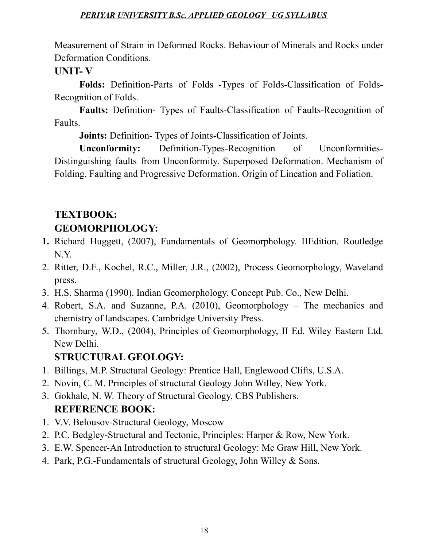Measurement of Strain in Deformed Rocks. Behaviour of Minerals and Rocks under Deformation Conditions.

# **UNIT- V**

**Folds:** Definition-Parts of Folds -Types of Folds-Classification of Folds-Recognition of Folds.

**Faults:** Definition- Types of Faults-Classification of Faults-Recognition of Faults.

**Joints:** Definition- Types of Joints-Classification of Joints.

**Unconformity:** Definition-Types-Recognition of Unconformities-Distinguishing faults from Unconformity. Superposed Deformation. Mechanism of Folding, Faulting and Progressive Deformation. Origin of Lineation and Foliation.

# **TEXTBOOK: GEOMORPHOLOGY:**

- **1.** Richard Huggett, (2007), Fundamentals of Geomorphology. IIEdition. Routledge N.Y.
- 2. Ritter, D.F., Kochel, R.C., Miller, J.R., (2002), Process Geomorphology, Waveland press.
- 3. H.S. Sharma (1990). Indian Geomorphology. Concept Pub. Co., New Delhi.
- 4. Robert, S.A. and Suzanne, P.A. (2010), Geomorphology The mechanics and chemistry of landscapes. Cambridge University Press.
- 5. Thornbury, W.D., (2004), Principles of Geomorphology, II Ed. Wiley Eastern Ltd. New Delhi.

# **STRUCTURAL GEOLOGY:**

- 1. Billings, M.P. Structural Geology: Prentice Hall, Englewood Clifts, U.S.A.
- 2. Novin, C. M. Principles of structural Geology John Willey, New York.
- 3. Gokhale, N. W. Theory of Structural Geology, CBS Publishers. **REFERENCE BOOK:**
- 1. V.V. Belousov-Structural Geology, Moscow
- 2. P.C. Bedgley-Structural and Tectonic, Principles: Harper & Row, New York.
- 3. E.W. Spencer-An Introduction to structural Geology: Mc Graw Hill, New York.
- 4. Park, P.G.-Fundamentals of structural Geology, John Willey & Sons.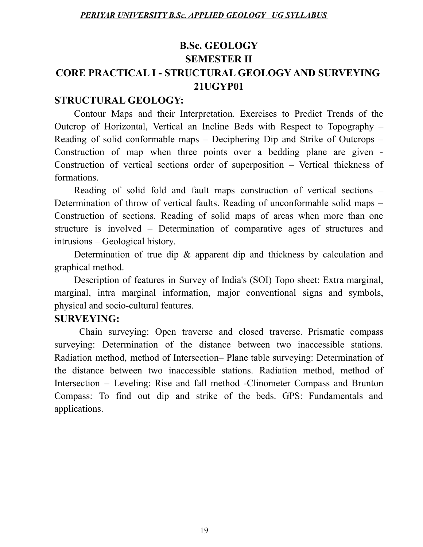# **B.Sc. GEOLOGY SEMESTER II CORE PRACTICAL I - STRUCTURAL GEOLOGY AND SURVEYING 21UGYP01**

### **STRUCTURAL GEOLOGY:**

Contour Maps and their Interpretation. Exercises to Predict Trends of the Outcrop of Horizontal, Vertical an Incline Beds with Respect to Topography – Reading of solid conformable maps – Deciphering Dip and Strike of Outcrops – Construction of map when three points over a bedding plane are given - Construction of vertical sections order of superposition – Vertical thickness of formations.

Reading of solid fold and fault maps construction of vertical sections – Determination of throw of vertical faults. Reading of unconformable solid maps – Construction of sections. Reading of solid maps of areas when more than one structure is involved – Determination of comparative ages of structures and intrusions – Geological history.

Determination of true dip & apparent dip and thickness by calculation and graphical method.

Description of features in Survey of India's (SOI) Topo sheet: Extra marginal, marginal, intra marginal information, major conventional signs and symbols, physical and socio-cultural features.

# **SURVEYING:**

Chain surveying: Open traverse and closed traverse. Prismatic compass surveying: Determination of the distance between two inaccessible stations. Radiation method, method of Intersection– Plane table surveying: Determination of the distance between two inaccessible stations. Radiation method, method of Intersection – Leveling: Rise and fall method -Clinometer Compass and Brunton Compass: To find out dip and strike of the beds. GPS: Fundamentals and applications.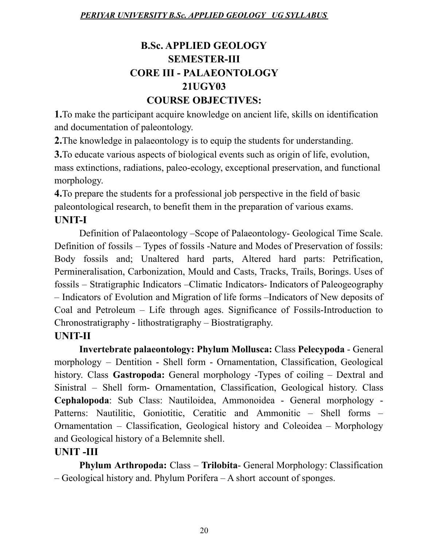# **B.Sc. APPLIED GEOLOGY SEMESTER-III CORE III - PALAEONTOLOGY 21UGY03 COURSE OBJECTIVES:**

**1.**To make the participant acquire knowledge on ancient life, skills on identification and documentation of paleontology.

**2.**The knowledge in palaeontology is to equip the students for understanding.

**3.**To educate various aspects of biological events such as origin of life, evolution, mass extinctions, radiations, paleo-ecology, exceptional preservation, and functional morphology.

**4.**To prepare the students for a professional job perspective in the field of basic paleontological research, to benefit them in the preparation of various exams. **UNIT-I**

Definition of Palaeontology –Scope of Palaeontology- Geological Time Scale. Definition of fossils – Types of fossils -Nature and Modes of Preservation of fossils: Body fossils and; Unaltered hard parts, Altered hard parts: Petrification, Permineralisation, Carbonization, Mould and Casts, Tracks, Trails, Borings. Uses of fossils – Stratigraphic Indicators –Climatic Indicators- Indicators of Paleogeography – Indicators of Evolution and Migration of life forms –Indicators of New deposits of Coal and Petroleum – Life through ages. Significance of Fossils-Introduction to Chronostratigraphy - lithostratigraphy – Biostratigraphy.

# **UNIT-II**

**Invertebrate palaeontology: Phylum Mollusca:** Class **Pelecypoda** - General morphology – Dentition - Shell form - Ornamentation, Classification, Geological history. Class **Gastropoda:** General morphology -Types of coiling – Dextral and Sinistral – Shell form- Ornamentation, Classification, Geological history. Class **Cephalopoda**: Sub Class: Nautiloidea, Ammonoidea - General morphology - Patterns: Nautilitic, Goniotitic, Ceratitic and Ammonitic – Shell forms – Ornamentation – Classification, Geological history and Coleoidea – Morphology and Geological history of a Belemnite shell.

# **UNIT -III**

**Phylum Arthropoda:** Class – **Trilobita**- General Morphology: Classification – Geological history and. Phylum Porifera – A short account of sponges.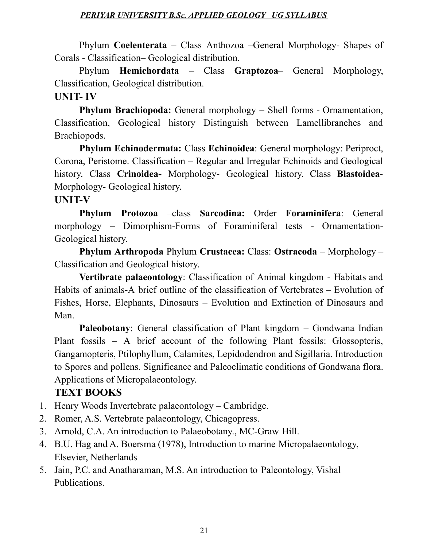Phylum **Coelenterata** – Class Anthozoa –General Morphology- Shapes of Corals - Classification– Geological distribution.

Phylum **Hemichordata** – Class **Graptozoa**– General Morphology, Classification, Geological distribution.

### **UNIT- IV**

**Phylum Brachiopoda:** General morphology – Shell forms - Ornamentation, Classification, Geological history Distinguish between Lamellibranches and Brachiopods.

**Phylum Echinodermata:** Class **Echinoidea**: General morphology: Periproct, Corona, Peristome. Classification – Regular and Irregular Echinoids and Geological history. Class **Crinoidea-** Morphology- Geological history. Class **Blastoidea**-Morphology- Geological history.

#### **UNIT-V**

**Phylum Protozoa** –class **Sarcodina:** Order **Foraminifera**: General morphology – Dimorphism-Forms of Foraminiferal tests - Ornamentation-Geological history.

**Phylum Arthropoda** Phylum **Crustacea:** Class: **Ostracoda** – Morphology – Classification and Geological history.

**Vertibrate palaeontology**: Classification of Animal kingdom - Habitats and Habits of animals-A brief outline of the classification of Vertebrates – Evolution of Fishes, Horse, Elephants, Dinosaurs – Evolution and Extinction of Dinosaurs and Man.

Paleobotany: General classification of Plant kingdom – Gondwana Indian Plant fossils – A brief account of the following Plant fossils: Glossopteris, Gangamopteris, Ptilophyllum, Calamites, Lepidodendron and Sigillaria. Introduction to Spores and pollens. Significance and Paleoclimatic conditions of Gondwana flora. Applications of Micropalaeontology.

# **TEXT BOOKS**

- 1. Henry Woods Invertebrate palaeontology Cambridge.
- 2. Romer, A.S. Vertebrate palaeontology, Chicagopress.
- 3. Arnold, C.A. An introduction to Palaeobotany., MC-Graw Hill.
- 4. B.U. Hag and A. Boersma (1978), Introduction to marine Micropalaeontology, Elsevier, Netherlands
- 5. Jain, P.C. and Anatharaman, M.S. An introduction to Paleontology, Vishal Publications.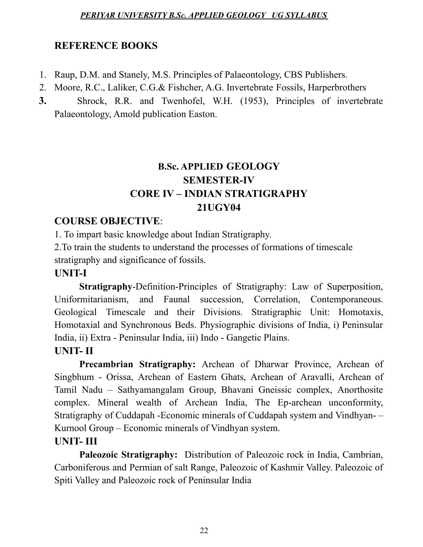# **REFERENCE BOOKS**

- 1. Raup, D.M. and Stanely, M.S. Principles of Palaeontology, CBS Publishers.
- 2. Moore, R.C., Laliker, C.G.& Fishcher, A.G. Invertebrate Fossils, Harperbrothers
- **3.** Shrock, R.R. and Twenhofel, W.H. (1953), Principles of invertebrate Palaeontology, Amold publication Easton.

# **B.Sc. APPLIED GEOLOGY SEMESTER-IV CORE IV – INDIAN STRATIGRAPHY 21UGY04**

# **COURSE OBJECTIVE**:

1. To impart basic knowledge about Indian Stratigraphy.

2.To train the students to understand the processes of formations of timescale stratigraphy and significance of fossils.

# **UNIT-I**

**Stratigraphy**-Definition-Principles of Stratigraphy: Law of Superposition, Uniformitarianism, and Faunal succession, Correlation, Contemporaneous. Geological Timescale and their Divisions. Stratigraphic Unit: Homotaxis, Homotaxial and Synchronous Beds. Physiographic divisions of India, i) Peninsular India, ii) Extra - Peninsular India, iii) Indo - Gangetic Plains.

# **UNIT- II**

**Precambrian Stratigraphy:** Archean of Dharwar Province, Archean of Singbhum - Orissa, Archean of Eastern Ghats, Archean of Aravalli, Archean of Tamil Nadu – Sathyamangalam Group, Bhavani Gneissic complex, Anorthosite complex. Mineral wealth of Archean India, The Ep-archean unconformity, Stratigraphy of Cuddapah -Economic minerals of Cuddapah system and Vindhyan- – Kurnool Group – Economic minerals of Vindhyan system.

# **UNIT- III**

**Paleozoic Stratigraphy:** Distribution of Paleozoic rock in India, Cambrian, Carboniferous and Permian of salt Range, Paleozoic of Kashmir Valley. Paleozoic of Spiti Valley and Paleozoic rock of Peninsular India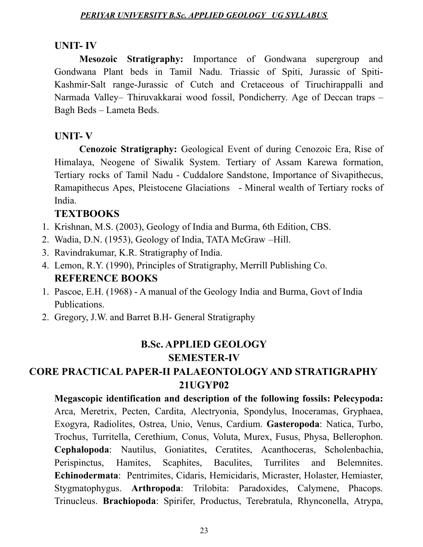#### **UNIT- IV**

**Mesozoic Stratigraphy:** Importance of Gondwana supergroup and Gondwana Plant beds in Tamil Nadu. Triassic of Spiti, Jurassic of Spiti-Kashmir-Salt range-Jurassic of Cutch and Cretaceous of Tiruchirappalli and Narmada Valley– Thiruvakkarai wood fossil, Pondicherry. Age of Deccan traps – Bagh Beds – Lameta Beds.

#### **UNIT- V**

**Cenozoic Stratigraphy:** Geological Event of during Cenozoic Era, Rise of Himalaya, Neogene of Siwalik System. Tertiary of Assam Karewa formation, Tertiary rocks of Tamil Nadu - Cuddalore Sandstone, Importance of Sivapithecus, Ramapithecus Apes, Pleistocene Glaciations - Mineral wealth of Tertiary rocks of India.

### **TEXTBOOKS**

- 1. Krishnan, M.S. (2003), Geology of India and Burma, 6th Edition, CBS.
- 2. Wadia, D.N. (1953), Geology of India, TATA McGraw –Hill.
- 3. Ravindrakumar, K.R. Stratigraphy of India.
- 4. Lemon, R.Y. (1990), Principles of Stratigraphy, Merrill Publishing Co. **REFERENCE BOOKS**
- 1. Pascoe, E.H. (1968) A manual of the Geology India and Burma, Govt of India Publications.
- 2. Gregory, J.W. and Barret B.H- General Stratigraphy

# **B.Sc. APPLIED GEOLOGY SEMESTER-IV**

# **CORE PRACTICAL PAPER-II PALAEONTOLOGY AND STRATIGRAPHY 21UGYP02**

**Megascopic identification and description of the following fossils: Pelecypoda:** Arca, Meretrix, Pecten, Cardita, Alectryonia, Spondylus, Inoceramas, Gryphaea, Exogyra, Radiolites, Ostrea, Unio, Venus, Cardium. **Gasteropoda**: Natica, Turbo, Trochus, Turritella, Cerethium, Conus, Voluta, Murex, Fusus, Physa, Bellerophon. **Cephalopoda**: Nautilus, Goniatites, Ceratites, Acanthoceras, Scholenbachia, Perispinctus, Hamites, Scaphites, Baculites, Turrilites and Belemnites. **Echinodermata**: Pentrimites, Cidaris, Hemicidaris, Micraster, Holaster, Hemiaster, Stygmatophygus. **Arthropoda**: Trilobita: Paradoxides, Calymene, Phacops. Trinucleus. **Brachiopoda**: Spirifer, Productus, Terebratula, Rhynconella, Atrypa,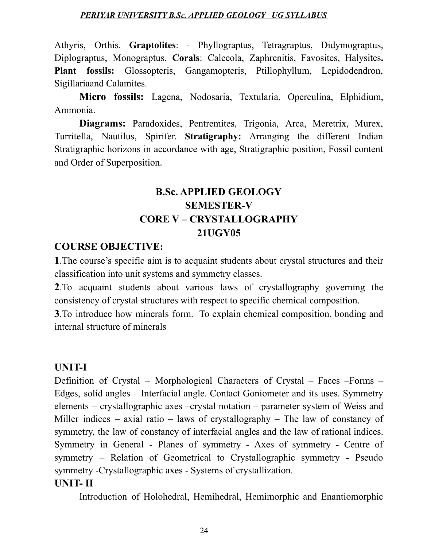Athyris, Orthis. **Graptolites**: - Phyllograptus, Tetragraptus, Didymograptus, Diplograptus, Monograptus. **Corals**: Calceola, Zaphrenitis, Favosites, Halysites**. Plant fossils:** Glossopteris, Gangamopteris, Ptillophyllum, Lepidodendron, Sigillariaand Calamites.

**Micro fossils:** Lagena, Nodosaria, Textularia, Operculina, Elphidium, Ammonia.

**Diagrams:** Paradoxides, Pentremites, Trigonia, Arca, Meretrix, Murex, Turritella, Nautilus, Spirifer. **Stratigraphy:** Arranging the different Indian Stratigraphic horizons in accordance with age, Stratigraphic position, Fossil content and Order of Superposition.

# **B.Sc. APPLIED GEOLOGY SEMESTER-V CORE V – CRYSTALLOGRAPHY 21UGY05**

# **COURSE OBJECTIVE:**

**1**.The course's specific aim is to acquaint students about crystal structures and their classification into unit systems and symmetry classes.

**2**.To acquaint students about various laws of crystallography governing the consistency of crystal structures with respect to specific chemical composition.

**3**.To introduce how minerals form. To explain chemical composition, bonding and internal structure of minerals

# **UNIT-I**

Definition of Crystal – Morphological Characters of Crystal – Faces –Forms – Edges, solid angles – Interfacial angle. Contact Goniometer and its uses. Symmetry elements – crystallographic axes –crystal notation – parameter system of Weiss and Miller indices – axial ratio – laws of crystallography – The law of constancy of symmetry, the law of constancy of interfacial angles and the law of rational indices. Symmetry in General - Planes of symmetry - Axes of symmetry - Centre of symmetry – Relation of Geometrical to Crystallographic symmetry - Pseudo symmetry -Crystallographic axes - Systems of crystallization.

#### **UNIT- II**

Introduction of Holohedral, Hemihedral, Hemimorphic and Enantiomorphic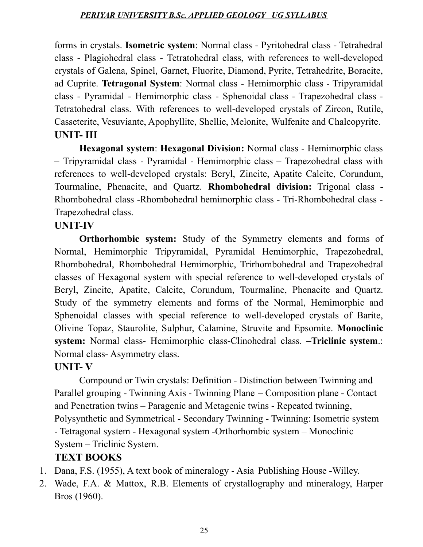forms in crystals. **Isometric system**: Normal class - Pyritohedral class - Tetrahedral class - Plagiohedral class - Tetratohedral class, with references to well-developed crystals of Galena, Spinel, Garnet, Fluorite, Diamond, Pyrite, Tetrahedrite, Boracite, ad Cuprite. **Tetragonal System**: Normal class - Hemimorphic class - Tripyramidal class - Pyramidal - Hemimorphic class - Sphenoidal class - Trapezohedral class - Tetratohedral class. With references to well-developed crystals of Zircon, Rutile, Casseterite, Vesuviante, Apophyllite, Shellie, Melonite, Wulfenite and Chalcopyrite. **UNIT- III**

**Hexagonal system**: **Hexagonal Division:** Normal class - Hemimorphic class – Tripyramidal class - Pyramidal - Hemimorphic class – Trapezohedral class with references to well-developed crystals: Beryl, Zincite, Apatite Calcite, Corundum, Tourmaline, Phenacite, and Quartz. **Rhombohedral division:** Trigonal class - Rhombohedral class -Rhombohedral hemimorphic class - Tri-Rhombohedral class - Trapezohedral class.

#### **UNIT-IV**

**Orthorhombic system:** Study of the Symmetry elements and forms of Normal, Hemimorphic Tripyramidal, Pyramidal Hemimorphic, Trapezohedral, Rhombohedral, Rhombohedral Hemimorphic, Trirhombohedral and Trapezohedral classes of Hexagonal system with special reference to well-developed crystals of Beryl, Zincite, Apatite, Calcite, Corundum, Tourmaline, Phenacite and Quartz. Study of the symmetry elements and forms of the Normal, Hemimorphic and Sphenoidal classes with special reference to well-developed crystals of Barite, Olivine Topaz, Staurolite, Sulphur, Calamine, Struvite and Epsomite. **Monoclinic system:** Normal class- Hemimorphic class-Clinohedral class. **–Triclinic system**.: Normal class- Asymmetry class.

#### **UNIT- V**

Compound or Twin crystals: Definition - Distinction between Twinning and Parallel grouping - Twinning Axis - Twinning Plane – Composition plane - Contact and Penetration twins – Paragenic and Metagenic twins - Repeated twinning, Polysynthetic and Symmetrical - Secondary Twinning - Twinning: Isometric system - Tetragonal system - Hexagonal system -Orthorhombic system – Monoclinic System – Triclinic System.

#### **TEXT BOOKS**

- 1. Dana, F.S. (1955), A text book of mineralogy Asia Publishing House -Willey.
- 2. Wade, F.A. & Mattox, R.B. Elements of crystallography and mineralogy, Harper Bros (1960).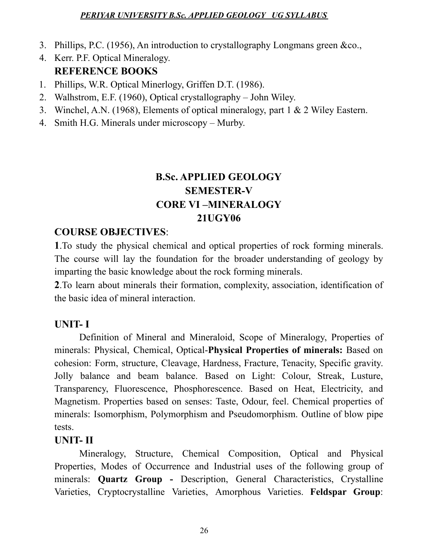- 3. Phillips, P.C. (1956), An introduction to crystallography Longmans green &co.,
- 4. Kerr. P.F. Optical Mineralogy. **REFERENCE BOOKS**
- 1. Phillips, W.R. Optical Minerlogy, Griffen D.T. (1986).
- 2. Walhstrom, E.F. (1960), Optical crystallography John Wiley.
- 3. Winchel, A.N. (1968), Elements of optical mineralogy, part 1 & 2 Wiley Eastern.
- 4. Smith H.G. Minerals under microscopy Murby.

# **B.Sc. APPLIED GEOLOGY SEMESTER-V CORE VI –MINERALOGY 21UGY06**

# **COURSE OBJECTIVES**:

**1**.To study the physical chemical and optical properties of rock forming minerals. The course will lay the foundation for the broader understanding of geology by imparting the basic knowledge about the rock forming minerals.

**2**.To learn about minerals their formation, complexity, association, identification of the basic idea of mineral interaction.

# **UNIT- I**

Definition of Mineral and Mineraloid, Scope of Mineralogy, Properties of minerals: Physical, Chemical, Optical-**Physical Properties of minerals:** Based on cohesion: Form, structure, Cleavage, Hardness, Fracture, Tenacity, Specific gravity. Jolly balance and beam balance. Based on Light: Colour, Streak, Lusture, Transparency, Fluorescence, Phosphorescence. Based on Heat, Electricity, and Magnetism. Properties based on senses: Taste, Odour, feel. Chemical properties of minerals: Isomorphism, Polymorphism and Pseudomorphism. Outline of blow pipe tests.

# **UNIT- II**

Mineralogy, Structure, Chemical Composition, Optical and Physical Properties, Modes of Occurrence and Industrial uses of the following group of minerals: **Quartz Group -** Description, General Characteristics, Crystalline Varieties, Cryptocrystalline Varieties, Amorphous Varieties. **Feldspar Group**: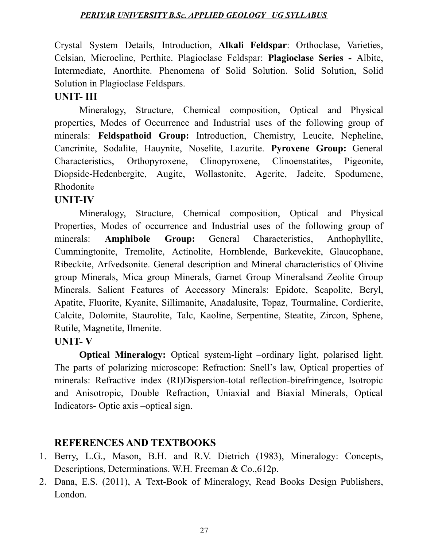Crystal System Details, Introduction, **Alkali Feldspar**: Orthoclase, Varieties, Celsian, Microcline, Perthite. Plagioclase Feldspar: **Plagioclase Series -** Albite, Intermediate, Anorthite. Phenomena of Solid Solution. Solid Solution, Solid Solution in Plagioclase Feldspars.

### **UNIT- III**

Mineralogy, Structure, Chemical composition, Optical and Physical properties, Modes of Occurrence and Industrial uses of the following group of minerals: **Feldspathoid Group:** Introduction, Chemistry, Leucite, Nepheline, Cancrinite, Sodalite, Hauynite, Noselite, Lazurite. **Pyroxene Group:** General Characteristics, Orthopyroxene, Clinopyroxene, Clinoenstatites, Pigeonite, Diopside-Hedenbergite, Augite, Wollastonite, Agerite, Jadeite, Spodumene, Rhodonite

### **UNIT-IV**

Mineralogy, Structure, Chemical composition, Optical and Physical Properties, Modes of occurrence and Industrial uses of the following group of minerals: **Amphibole Group:** General Characteristics, Anthophyllite, Cummingtonite, Tremolite, Actinolite, Hornblende, Barkevekite, Glaucophane, Ribeckite, Arfvedsonite. General description and Mineral characteristics of Olivine group Minerals, Mica group Minerals, Garnet Group Mineralsand Zeolite Group Minerals. Salient Features of Accessory Minerals: Epidote, Scapolite, Beryl, Apatite, Fluorite, Kyanite, Sillimanite, Anadalusite, Topaz, Tourmaline, Cordierite, Calcite, Dolomite, Staurolite, Talc, Kaoline, Serpentine, Steatite, Zircon, Sphene, Rutile, Magnetite, Ilmenite.

#### **UNIT- V**

**Optical Mineralogy:** Optical system-light –ordinary light, polarised light. The parts of polarizing microscope: Refraction: Snell's law, Optical properties of minerals: Refractive index (RI)Dispersion-total reflection-birefringence, Isotropic and Anisotropic, Double Refraction, Uniaxial and Biaxial Minerals, Optical Indicators- Optic axis –optical sign.

#### **REFERENCES AND TEXTBOOKS**

- 1. Berry, L.G., Mason, B.H. and R.V. Dietrich (1983), Mineralogy: Concepts, Descriptions, Determinations. W.H. Freeman & Co.,612p.
- 2. Dana, E.S. (2011), A Text-Book of Mineralogy, Read Books Design Publishers, London.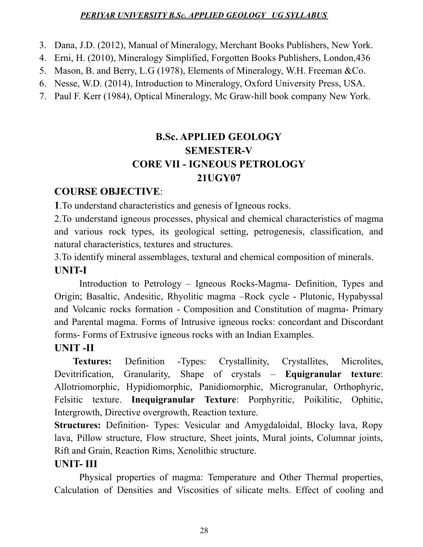- 3. Dana, J.D. (2012), Manual of Mineralogy, Merchant Books Publishers, New York.
- 4. Erni, H. (2010), Mineralogy Simplified, Forgotten Books Publishers, London,436
- 5. Mason, B. and Berry, L.G (1978), Elements of Mineralogy, W.H. Freeman &Co.
- 6. Nesse, W.D. (2014), Introduction to Mineralogy, Oxford University Press, USA.
- 7. Paul F. Kerr (1984), Optical Mineralogy, Mc Graw-hill book company New York.

# **B.Sc. APPLIED GEOLOGY SEMESTER-V CORE VII - IGNEOUS PETROLOGY 21UGY07**

# **COURSE OBJECTIVE**:

**1**.To understand characteristics and genesis of Igneous rocks.

2.To understand igneous processes, physical and chemical characteristics of magma and various rock types, its geological setting, petrogenesis, classification, and natural characteristics, textures and structures.

3.To identify mineral assemblages, textural and chemical composition of minerals. **UNIT-I**

Introduction to Petrology – Igneous Rocks-Magma- Definition, Types and Origin; Basaltic, Andesitic, Rhyolitic magma –Rock cycle - Plutonic, Hypabyssal and Volcanic rocks formation - Composition and Constitution of magma- Primary and Parental magma. Forms of Intrusive igneous rocks: concordant and Discordant forms- Forms of Extrusive igneous rocks with an Indian Examples.

# **UNIT -II**

**Textures:** Definition - Types: Crystallinity, Crystallites, Microlites, Devitrification, Granularity, Shape of crystals – **Equigranular texture**: Allotriomorphic, Hypidiomorphic, Panidiomorphic, Microgranular, Orthophyric, Felsitic texture. **Inequigranular Texture**: Porphyritic, Poikilitic, Ophitic, Intergrowth, Directive overgrowth, Reaction texture.

**Structures:** Definition- Types: Vesicular and Amygdaloidal, Blocky lava, Ropy lava, Pillow structure, Flow structure, Sheet joints, Mural joints, Columnar joints, Rift and Grain, Reaction Rims, Xenolithic structure.

# **UNIT- III**

Physical properties of magma: Temperature and Other Thermal properties, Calculation of Densities and Viscosities of silicate melts. Effect of cooling and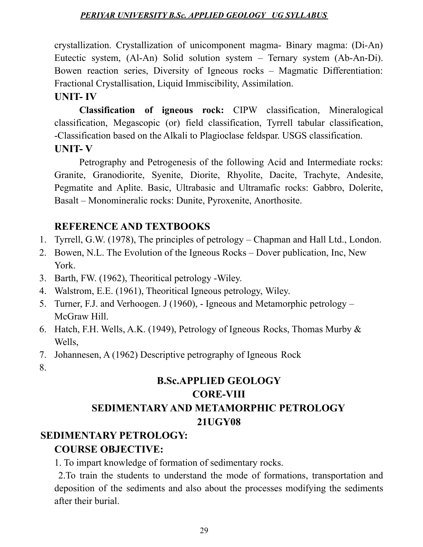crystallization. Crystallization of unicomponent magma- Binary magma: (Di-An) Eutectic system, (Al-An) Solid solution system – Ternary system (Ab-An-Di). Bowen reaction series, Diversity of Igneous rocks – Magmatic Differentiation: Fractional Crystallisation, Liquid Immiscibility, Assimilation.

#### **UNIT- IV**

**Classification of igneous rock:** CIPW classification, Mineralogical classification, Megascopic (or) field classification, Tyrrell tabular classification, -Classification based on the Alkali to Plagioclase feldspar. USGS classification. **UNIT- V**

Petrography and Petrogenesis of the following Acid and Intermediate rocks: Granite, Granodiorite, Syenite, Diorite, Rhyolite, Dacite, Trachyte, Andesite, Pegmatite and Aplite. Basic, Ultrabasic and Ultramafic rocks: Gabbro, Dolerite, Basalt – Monomineralic rocks: Dunite, Pyroxenite, Anorthosite.

# **REFERENCE AND TEXTBOOKS**

- 1. Tyrrell, G.W. (1978), The principles of petrology Chapman and Hall Ltd., London.
- 2. Bowen, N.L. The Evolution of the Igneous Rocks Dover publication, Inc, New York.
- 3. Barth, FW. (1962), Theoritical petrology -Wiley.
- 4. Walstrom, E.E. (1961), Theoritical Igneous petrology, Wiley.
- 5. Turner, F.J. and Verhoogen. J (1960), Igneous and Metamorphic petrology McGraw Hill.
- 6. Hatch, F.H. Wells, A.K. (1949), Petrology of Igneous Rocks, Thomas Murby & Wells,
- 7. Johannesen, A (1962) Descriptive petrography of Igneous Rock
- 8.

# **B.Sc.APPLIED GEOLOGY CORE-VIII SEDIMENTARY AND METAMORPHIC PETROLOGY 21UGY08**

#### **SEDIMENTARY PETROLOGY:**

# **COURSE OBJECTIVE:**

1. To impart knowledge of formation of sedimentary rocks.

2.To train the students to understand the mode of formations, transportation and deposition of the sediments and also about the processes modifying the sediments after their burial.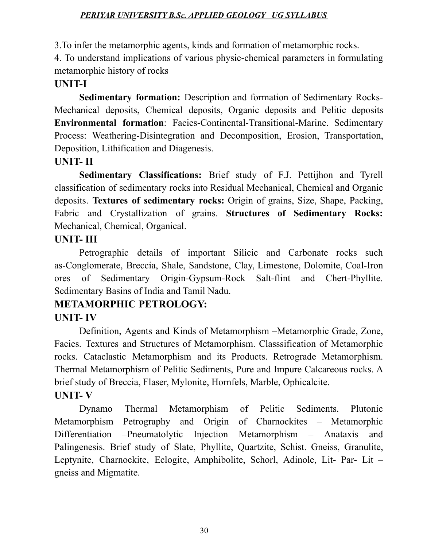3.To infer the metamorphic agents, kinds and formation of metamorphic rocks.

4. To understand implications of various physic-chemical parameters in formulating metamorphic history of rocks

# **UNIT-I**

**Sedimentary formation:** Description and formation of Sedimentary Rocks-Mechanical deposits, Chemical deposits, Organic deposits and Pelitic deposits **Environmental formation**: Facies-Continental-Transitional-Marine. Sedimentary Process: Weathering-Disintegration and Decomposition, Erosion, Transportation, Deposition, Lithification and Diagenesis.

# **UNIT- II**

**Sedimentary Classifications:** Brief study of F.J. Pettijhon and Tyrell classification of sedimentary rocks into Residual Mechanical, Chemical and Organic deposits. **Textures of sedimentary rocks:** Origin of grains, Size, Shape, Packing, Fabric and Crystallization of grains. **Structures of Sedimentary Rocks:** Mechanical, Chemical, Organical.

# **UNIT- III**

Petrographic details of important Silicic and Carbonate rocks such as-Conglomerate, Breccia, Shale, Sandstone, Clay, Limestone, Dolomite, Coal-Iron ores of Sedimentary Origin-Gypsum-Rock Salt-flint and Chert-Phyllite. Sedimentary Basins of India and Tamil Nadu.

# **METAMORPHIC PETROLOGY:**

# **UNIT- IV**

Definition, Agents and Kinds of Metamorphism –Metamorphic Grade, Zone, Facies. Textures and Structures of Metamorphism. Classsification of Metamorphic rocks. Cataclastic Metamorphism and its Products. Retrograde Metamorphism. Thermal Metamorphism of Pelitic Sediments, Pure and Impure Calcareous rocks. A brief study of Breccia, Flaser, Mylonite, Hornfels, Marble, Ophicalcite. **UNIT- V**

# Dynamo Thermal Metamorphism of Pelitic Sediments. Plutonic Metamorphism Petrography and Origin of Charnockites – Metamorphic Differentiation –Pneumatolytic Injection Metamorphism – Anataxis and Palingenesis. Brief study of Slate, Phyllite, Quartzite, Schist. Gneiss, Granulite, Leptynite, Charnockite, Eclogite, Amphibolite, Schorl, Adinole, Lit- Par- Lit – gneiss and Migmatite.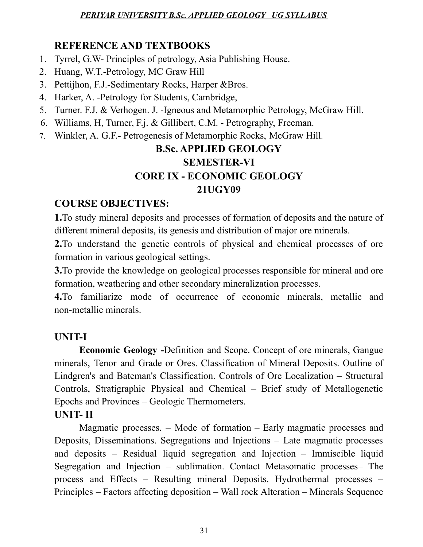# **REFERENCE AND TEXTBOOKS**

- 1. Tyrrel, G.W- Principles of petrology, Asia Publishing House.
- 2. Huang, W.T.-Petrology, MC Graw Hill
- 3. Pettijhon, F.J.-Sedimentary Rocks, Harper &Bros.
- 4. Harker, A. -Petrology for Students, Cambridge,
- 5. Turner. F.J. & Verhogen. J. -Igneous and Metamorphic Petrology, McGraw Hill.
- 6. Williams, H, Turner, F.j. & Gillibert, C.M. Petrography, Freeman.
- 7. Winkler, A. G.F.- Petrogenesis of Metamorphic Rocks, McGraw Hill.

# **B.Sc. APPLIED GEOLOGY SEMESTER-VI CORE IX - ECONOMIC GEOLOGY 21UGY09**

# **COURSE OBJECTIVES:**

**1.**To study mineral deposits and processes of formation of deposits and the nature of different mineral deposits, its genesis and distribution of major ore minerals.

**2.**To understand the genetic controls of physical and chemical processes of ore formation in various geological settings.

**3.**To provide the knowledge on geological processes responsible for mineral and ore formation, weathering and other secondary mineralization processes.

**4.**To familiarize mode of occurrence of economic minerals, metallic and non-metallic minerals.

# **UNIT-I**

**Economic Geology -**Definition and Scope. Concept of ore minerals, Gangue minerals, Tenor and Grade or Ores. Classification of Mineral Deposits. Outline of Lindgren's and Bateman's Classification. Controls of Ore Localization – Structural Controls, Stratigraphic Physical and Chemical – Brief study of Metallogenetic Epochs and Provinces – Geologic Thermometers.

# **UNIT- II**

Magmatic processes. – Mode of formation – Early magmatic processes and Deposits, Disseminations. Segregations and Injections – Late magmatic processes and deposits – Residual liquid segregation and Injection – Immiscible liquid Segregation and Injection – sublimation. Contact Metasomatic processes– The process and Effects – Resulting mineral Deposits. Hydrothermal processes – Principles – Factors affecting deposition – Wall rock Alteration – Minerals Sequence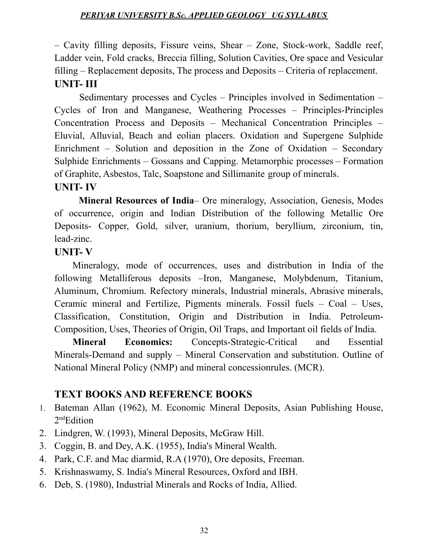– Cavity filling deposits, Fissure veins, Shear – Zone, Stock-work, Saddle reef, Ladder vein, Fold cracks, Breccia filling, Solution Cavities, Ore space and Vesicular filling – Replacement deposits, The process and Deposits – Criteria of replacement. **UNIT- III**

Sedimentary processes and Cycles – Principles involved in Sedimentation – Cycles of Iron and Manganese, Weathering Processes – Principles-Principles Concentration Process and Deposits – Mechanical Concentration Principles – Eluvial, Alluvial, Beach and eolian placers. Oxidation and Supergene Sulphide Enrichment – Solution and deposition in the Zone of Oxidation – Secondary Sulphide Enrichments – Gossans and Capping. Metamorphic processes – Formation of Graphite, Asbestos, Talc, Soapstone and Sillimanite group of minerals.

#### **UNIT- IV**

**Mineral Resources of India**– Ore mineralogy, Association, Genesis, Modes of occurrence, origin and Indian Distribution of the following Metallic Ore Deposits- Copper, Gold, silver, uranium, thorium, beryllium, zirconium, tin, lead-zinc.

#### **UNIT- V**

Mineralogy, mode of occurrences, uses and distribution in India of the following Metalliferous deposits –Iron, Manganese, Molybdenum, Titanium, Aluminum, Chromium. Refectory minerals, Industrial minerals, Abrasive minerals, Ceramic mineral and Fertilize, Pigments minerals. Fossil fuels – Coal – Uses, Classification, Constitution, Origin and Distribution in India. Petroleum-Composition, Uses, Theories of Origin, Oil Traps, and Important oil fields of India.

**Mineral Economics:** Concepts-Strategic-Critical and Essential Minerals-Demand and supply – Mineral Conservation and substitution. Outline of National Mineral Policy (NMP) and mineral concessionrules. (MCR).

# **TEXT BOOKS AND REFERENCE BOOKS**

- 1. Bateman Allan (1962), M. Economic Mineral Deposits, Asian Publishing House, 2<sup>nd</sup>Edition
- 2. Lindgren, W. (1993), Mineral Deposits, McGraw Hill.
- 3. Coggin, B. and Dey, A.K. (1955), India's Mineral Wealth.
- 4. Park, C.F. and Mac diarmid, R.A (1970), Ore deposits, Freeman.
- 5. Krishnaswamy, S. India's Mineral Resources, Oxford and IBH.
- 6. Deb, S. (1980), Industrial Minerals and Rocks of India, Allied.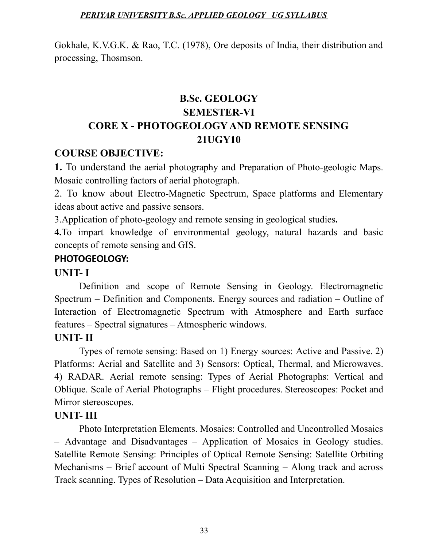Gokhale, K.V.G.K. & Rao, T.C. (1978), Ore deposits of India, their distribution and processing, Thosmson.

# **B.Sc. GEOLOGY SEMESTER-VI CORE X - PHOTOGEOLOGY AND REMOTE SENSING 21UGY10**

#### **COURSE OBJECTIVE:**

**1.** To understand the aerial photography and Preparation of Photo-geologic Maps. Mosaic controlling factors of aerial photograph.

2. To know about Electro-Magnetic Spectrum, Space platforms and Elementary ideas about active and passive sensors.

3.Application of photo-geology and remote sensing in geological studies**.**

**4.**To impart knowledge of environmental geology, natural hazards and basic concepts of remote sensing and GIS.

#### **PHOTOGEOLOGY:**

#### **UNIT- I**

Definition and scope of Remote Sensing in Geology. Electromagnetic Spectrum – Definition and Components. Energy sources and radiation – Outline of Interaction of Electromagnetic Spectrum with Atmosphere and Earth surface features – Spectral signatures – Atmospheric windows.

#### **UNIT- II**

Types of remote sensing: Based on 1) Energy sources: Active and Passive. 2) Platforms: Aerial and Satellite and 3) Sensors: Optical, Thermal, and Microwaves. 4) RADAR. Aerial remote sensing: Types of Aerial Photographs: Vertical and Oblique. Scale of Aerial Photographs – Flight procedures. Stereoscopes: Pocket and Mirror stereoscopes.

#### **UNIT- III**

Photo Interpretation Elements. Mosaics: Controlled and Uncontrolled Mosaics – Advantage and Disadvantages – Application of Mosaics in Geology studies. Satellite Remote Sensing: Principles of Optical Remote Sensing: Satellite Orbiting Mechanisms – Brief account of Multi Spectral Scanning – Along track and across Track scanning. Types of Resolution – Data Acquisition and Interpretation.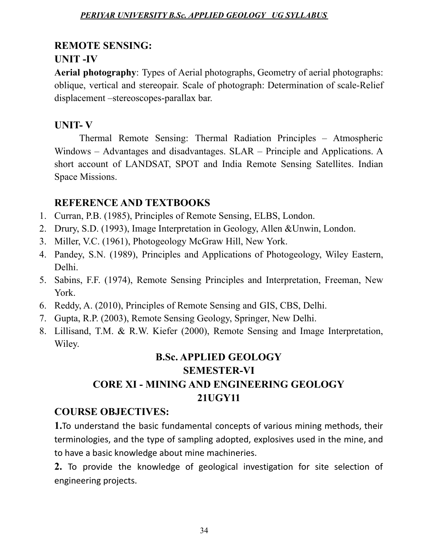### **REMOTE SENSING:**

# **UNIT -IV**

**Aerial photography**: Types of Aerial photographs, Geometry of aerial photographs: oblique, vertical and stereopair. Scale of photograph: Determination of scale-Relief displacement –stereoscopes-parallax bar.

# **UNIT- V**

Thermal Remote Sensing: Thermal Radiation Principles – Atmospheric Windows – Advantages and disadvantages. SLAR – Principle and Applications. A short account of LANDSAT, SPOT and India Remote Sensing Satellites. Indian Space Missions.

# **REFERENCE AND TEXTBOOKS**

- 1. Curran, P.B. (1985), Principles of Remote Sensing, ELBS, London.
- 2. Drury, S.D. (1993), Image Interpretation in Geology, Allen &Unwin, London.
- 3. Miller, V.C. (1961), Photogeology McGraw Hill, New York.
- 4. Pandey, S.N. (1989), Principles and Applications of Photogeology, Wiley Eastern, Delhi.
- 5. Sabins, F.F. (1974), Remote Sensing Principles and Interpretation, Freeman, New York.
- 6. Reddy, A. (2010), Principles of Remote Sensing and GIS, CBS, Delhi.
- 7. Gupta, R.P. (2003), Remote Sensing Geology, Springer, New Delhi.
- 8. Lillisand, T.M. & R.W. Kiefer (2000), Remote Sensing and Image Interpretation, Wiley.

# **B.Sc. APPLIED GEOLOGY SEMESTER-VI CORE XI - MINING AND ENGINEERING GEOLOGY 21UGY11**

# **COURSE OBJECTIVES:**

**1.**To understand the basic fundamental concepts of various mining methods, their terminologies, and the type of sampling adopted, explosives used in the mine, and to have a basic knowledge about mine machineries.

**2.** To provide the knowledge of geological investigation for site selection of engineering projects.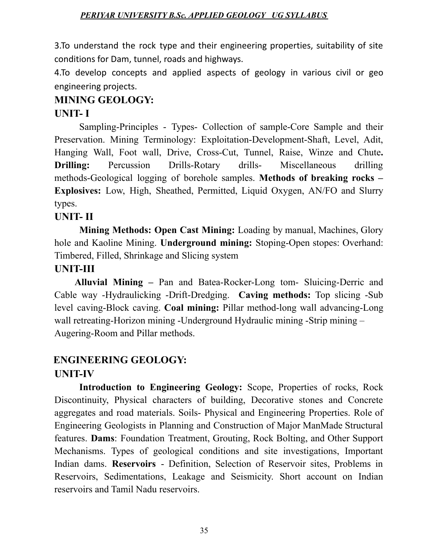3.To understand the rock type and their engineering properties, suitability of site conditions for Dam, tunnel, roads and highways.

4.To develop concepts and applied aspects of geology in various civil or geo engineering projects.

### **MINING GEOLOGY:**

#### **UNIT- I**

Sampling-Principles - Types- Collection of sample-Core Sample and their Preservation. Mining Terminology: Exploitation-Development-Shaft, Level, Adit, Hanging Wall, Foot wall, Drive, Cross-Cut, Tunnel, Raise, Winze and Chute**. Drilling:** Percussion Drills-Rotary drills- Miscellaneous drilling methods-Geological logging of borehole samples. **Methods of breaking rocks – Explosives:** Low, High, Sheathed, Permitted, Liquid Oxygen, AN/FO and Slurry types.

### **UNIT- II**

**Mining Methods: Open Cast Mining:** Loading by manual, Machines, Glory hole and Kaoline Mining. **Underground mining:** Stoping-Open stopes: Overhand: Timbered, Filled, Shrinkage and Slicing system

#### **UNIT-III**

**Alluvial Mining –** Pan and Batea-Rocker-Long tom- Sluicing-Derric and Cable way -Hydraulicking -Drift-Dredging. **Caving methods:** Top slicing -Sub level caving-Block caving. **Coal mining:** Pillar method-long wall advancing-Long wall retreating-Horizon mining -Underground Hydraulic mining -Strip mining – Augering-Room and Pillar methods.

# **ENGINEERING GEOLOGY:**

#### **UNIT-IV**

**Introduction to Engineering Geology:** Scope, Properties of rocks, Rock Discontinuity, Physical characters of building, Decorative stones and Concrete aggregates and road materials. Soils- Physical and Engineering Properties. Role of Engineering Geologists in Planning and Construction of Major ManMade Structural features. **Dams**: Foundation Treatment, Grouting, Rock Bolting, and Other Support Mechanisms. Types of geological conditions and site investigations, Important Indian dams. **Reservoirs** - Definition, Selection of Reservoir sites, Problems in Reservoirs, Sedimentations, Leakage and Seismicity. Short account on Indian reservoirs and Tamil Nadu reservoirs.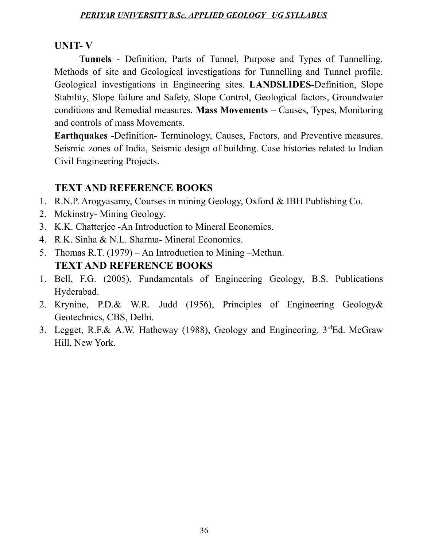#### **UNIT- V**

**Tunnels** - Definition, Parts of Tunnel, Purpose and Types of Tunnelling. Methods of site and Geological investigations for Tunnelling and Tunnel profile. Geological investigations in Engineering sites. **LANDSLIDES-**Definition, Slope Stability, Slope failure and Safety, Slope Control, Geological factors, Groundwater conditions and Remedial measures. **Mass Movements** – Causes, Types, Monitoring and controls of mass Movements.

**Earthquakes** -Definition- Terminology, Causes, Factors, and Preventive measures. Seismic zones of India, Seismic design of building. Case histories related to Indian Civil Engineering Projects.

#### **TEXT AND REFERENCE BOOKS**

- 1. R.N.P. Arogyasamy, Courses in mining Geology, Oxford & IBH Publishing Co.
- 2. Mckinstry- Mining Geology.
- 3. K.K. Chatterjee -An Introduction to Mineral Economics.
- 4. R.K. Sinha & N.L. Sharma- Mineral Economics.
- 5. Thomas R.T. (1979) An Introduction to Mining –Methun. **TEXT AND REFERENCE BOOKS**
- 1. Bell, F.G. (2005), Fundamentals of Engineering Geology, B.S. Publications Hyderabad.
- 2. Krynine, P.D.& W.R. Judd (1956), Principles of Engineering Geology& Geotechnics, CBS, Delhi.
- 3. Legget, R.F.& A.W. Hatheway (1988), Geology and Engineering. 3rdEd. McGraw Hill, New York.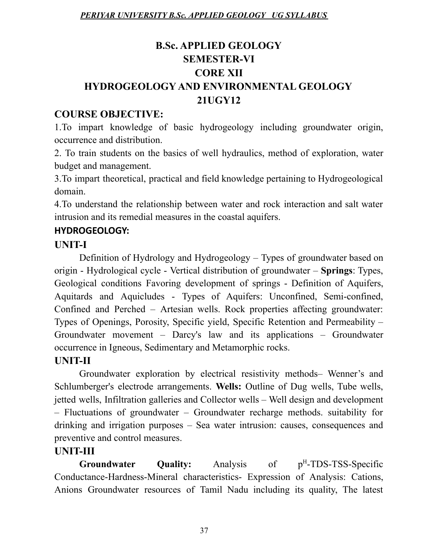# **B.Sc. APPLIED GEOLOGY SEMESTER-VI CORE XII HYDROGEOLOGY AND ENVIRONMENTAL GEOLOGY 21UGY12**

# **COURSE OBJECTIVE:**

1.To impart knowledge of basic hydrogeology including groundwater origin, occurrence and distribution.

2. To train students on the basics of well hydraulics, method of exploration, water budget and management.

3.To impart theoretical, practical and field knowledge pertaining to Hydrogeological domain.

4.To understand the relationship between water and rock interaction and salt water intrusion and its remedial measures in the coastal aquifers.

# **HYDROGEOLOGY:**

# **UNIT-I**

Definition of Hydrology and Hydrogeology – Types of groundwater based on origin - Hydrological cycle - Vertical distribution of groundwater – **Springs**: Types, Geological conditions Favoring development of springs - Definition of Aquifers, Aquitards and Aquicludes - Types of Aquifers: Unconfined, Semi-confined, Confined and Perched – Artesian wells. Rock properties affecting groundwater: Types of Openings, Porosity, Specific yield, Specific Retention and Permeability – Groundwater movement – Darcy's law and its applications – Groundwater occurrence in Igneous, Sedimentary and Metamorphic rocks.

# **UNIT-II**

Groundwater exploration by electrical resistivity methods– Wenner's and Schlumberger's electrode arrangements. **Wells:** Outline of Dug wells, Tube wells, jetted wells, Infiltration galleries and Collector wells – Well design and development – Fluctuations of groundwater – Groundwater recharge methods. suitability for drinking and irrigation purposes – Sea water intrusion: causes, consequences and preventive and control measures.

# **UNIT-III**

**Groundwater Ouality:** Analysis of <sup>H</sup>-TDS-TSS-Specific Conductance-Hardness-Mineral characteristics- Expression of Analysis: Cations, Anions Groundwater resources of Tamil Nadu including its quality, The latest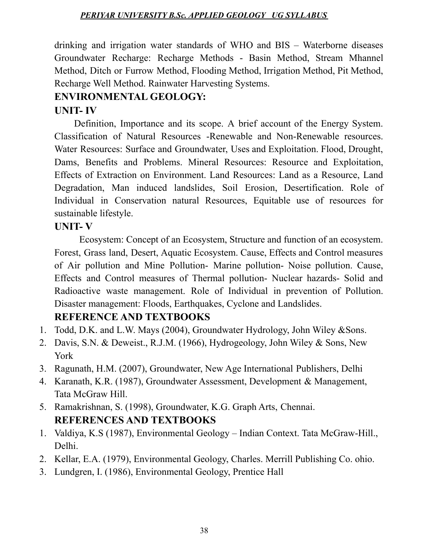drinking and irrigation water standards of WHO and BIS – Waterborne diseases Groundwater Recharge: Recharge Methods - Basin Method, Stream Mhannel Method, Ditch or Furrow Method, Flooding Method, Irrigation Method, Pit Method, Recharge Well Method. Rainwater Harvesting Systems.

# **ENVIRONMENTAL GEOLOGY:**

# **UNIT- IV**

Definition, Importance and its scope. A brief account of the Energy System. Classification of Natural Resources -Renewable and Non-Renewable resources. Water Resources: Surface and Groundwater, Uses and Exploitation. Flood, Drought, Dams, Benefits and Problems. Mineral Resources: Resource and Exploitation, Effects of Extraction on Environment. Land Resources: Land as a Resource, Land Degradation, Man induced landslides, Soil Erosion, Desertification. Role of Individual in Conservation natural Resources, Equitable use of resources for sustainable lifestyle.

### **UNIT- V**

Ecosystem: Concept of an Ecosystem, Structure and function of an ecosystem. Forest, Grass land, Desert, Aquatic Ecosystem. Cause, Effects and Control measures of Air pollution and Mine Pollution- Marine pollution- Noise pollution. Cause, Effects and Control measures of Thermal pollution- Nuclear hazards- Solid and Radioactive waste management. Role of Individual in prevention of Pollution. Disaster management: Floods, Earthquakes, Cyclone and Landslides.

# **REFERENCE AND TEXTBOOKS**

- 1. Todd, D.K. and L.W. Mays (2004), Groundwater Hydrology, John Wiley &Sons.
- 2. Davis, S.N. & Deweist., R.J.M. (1966), Hydrogeology, John Wiley & Sons, New York
- 3. Ragunath, H.M. (2007), Groundwater, New Age International Publishers, Delhi
- 4. Karanath, K.R. (1987), Groundwater Assessment, Development & Management, Tata McGraw Hill.
- 5. Ramakrishnan, S. (1998), Groundwater, K.G. Graph Arts, Chennai. **REFERENCES AND TEXTBOOKS**
- 1. Valdiya, K.S (1987), Environmental Geology Indian Context. Tata McGraw-Hill., Delhi.
- 2. Kellar, E.A. (1979), Environmental Geology, Charles. Merrill Publishing Co. ohio.
- 3. Lundgren, I. (1986), Environmental Geology, Prentice Hall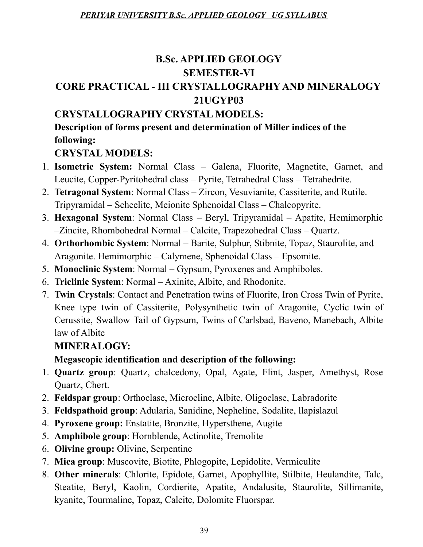# **B.Sc. APPLIED GEOLOGY SEMESTER-VI**

# **CORE PRACTICAL - III CRYSTALLOGRAPHY AND MINERALOGY 21UGYP03**

# **CRYSTALLOGRAPHY CRYSTAL MODELS:**

# **Description of forms present and determination of Miller indices of the following:**

# **CRYSTAL MODELS:**

- 1. **Isometric System:** Normal Class Galena, Fluorite, Magnetite, Garnet, and Leucite, Copper-Pyritohedral class – Pyrite, Tetrahedral Class – Tetrahedrite.
- 2. **Tetragonal System**: Normal Class Zircon, Vesuvianite, Cassiterite, and Rutile. Tripyramidal – Scheelite, Meionite Sphenoidal Class – Chalcopyrite.
- 3. **Hexagonal System**: Normal Class Beryl, Tripyramidal Apatite, Hemimorphic –Zincite, Rhombohedral Normal – Calcite, Trapezohedral Class – Quartz.
- 4. **Orthorhombic System**: Normal Barite, Sulphur, Stibnite, Topaz, Staurolite, and Aragonite. Hemimorphic – Calymene, Sphenoidal Class – Epsomite.
- 5. **Monoclinic System**: Normal Gypsum, Pyroxenes and Amphiboles.
- 6. **Triclinic System**: Normal Axinite, Albite, and Rhodonite.
- 7. **Twin Crystals**: Contact and Penetration twins of Fluorite, Iron Cross Twin of Pyrite, Knee type twin of Cassiterite, Polysynthetic twin of Aragonite, Cyclic twin of Cerussite, Swallow Tail of Gypsum, Twins of Carlsbad, Baveno, Manebach, Albite law of Albite

# **MINERALOGY:**

# **Megascopic identification and description of the following:**

- 1. **Quartz group**: Quartz, chalcedony, Opal, Agate, Flint, Jasper, Amethyst, Rose Quartz, Chert.
- 2. **Feldspar group**: Orthoclase, Microcline, Albite, Oligoclase, Labradorite
- 3. **Feldspathoid group**: Adularia, Sanidine, Nepheline, Sodalite, llapislazul
- 4. **Pyroxene group:** Enstatite, Bronzite, Hypersthene, Augite
- 5. **Amphibole group**: Hornblende, Actinolite, Tremolite
- 6. **Olivine group:** Olivine, Serpentine
- 7. **Mica group**: Muscovite, Biotite, Phlogopite, Lepidolite, Vermiculite
- 8. **Other minerals**: Chlorite, Epidote, Garnet, Apophyllite, Stilbite, Heulandite, Talc, Steatite, Beryl, Kaolin, Cordierite, Apatite, Andalusite, Staurolite, Sillimanite, kyanite, Tourmaline, Topaz, Calcite, Dolomite Fluorspar.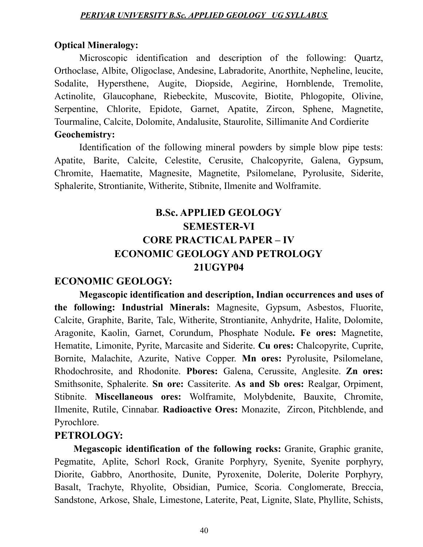#### **Optical Mineralogy:**

Microscopic identification and description of the following: Quartz, Orthoclase, Albite, Oligoclase, Andesine, Labradorite, Anorthite, Nepheline, leucite, Sodalite, Hypersthene, Augite, Diopside, Aegirine, Hornblende, Tremolite, Actinolite, Glaucophane, Riebeckite, Muscovite, Biotite, Phlogopite, Olivine, Serpentine, Chlorite, Epidote, Garnet, Apatite, Zircon, Sphene, Magnetite, Tourmaline, Calcite, Dolomite, Andalusite, Staurolite, Sillimanite And Cordierite **Geochemistry:**

Identification of the following mineral powders by simple blow pipe tests: Apatite, Barite, Calcite, Celestite, Cerusite, Chalcopyrite, Galena, Gypsum, Chromite, Haematite, Magnesite, Magnetite, Psilomelane, Pyrolusite, Siderite, Sphalerite, Strontianite, Witherite, Stibnite, Ilmenite and Wolframite.

# **B.Sc. APPLIED GEOLOGY SEMESTER-VI CORE PRACTICAL PAPER – IV ECONOMIC GEOLOGY AND PETROLOGY 21UGYP04**

#### **ECONOMIC GEOLOGY:**

**Megascopic identification and description, Indian occurrences and uses of the following: Industrial Minerals:** Magnesite, Gypsum, Asbestos, Fluorite, Calcite, Graphite, Barite, Talc, Witherite, Strontianite, Anhydrite, Halite, Dolomite, Aragonite, Kaolin, Garnet, Corundum, Phosphate Nodule**. Fe ores:** Magnetite, Hematite, Limonite, Pyrite, Marcasite and Siderite. **Cu ores:** Chalcopyrite, Cuprite, Bornite, Malachite, Azurite, Native Copper. **Mn ores:** Pyrolusite, Psilomelane, Rhodochrosite, and Rhodonite. **Pbores:** Galena, Cerussite, Anglesite. **Zn ores:** Smithsonite, Sphalerite. **Sn ore:** Cassiterite. **As and Sb ores:** Realgar, Orpiment, Stibnite. **Miscellaneous ores:** Wolframite, Molybdenite, Bauxite, Chromite, Ilmenite, Rutile, Cinnabar. **Radioactive Ores:** Monazite, Zircon, Pitchblende, and Pyrochlore.

#### **PETROLOGY:**

**Megascopic identification of the following rocks:** Granite, Graphic granite, Pegmatite, Aplite, Schorl Rock, Granite Porphyry, Syenite, Syenite porphyry, Diorite, Gabbro, Anorthosite, Dunite, Pyroxenite, Dolerite, Dolerite Porphyry, Basalt, Trachyte, Rhyolite, Obsidian, Pumice, Scoria. Conglomerate, Breccia, Sandstone, Arkose, Shale, Limestone, Laterite, Peat, Lignite, Slate, Phyllite, Schists,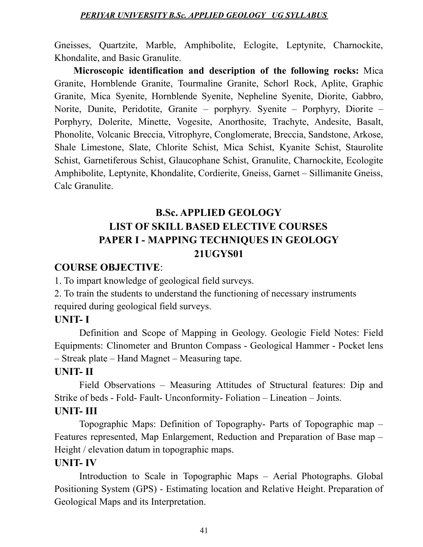Gneisses, Quartzite, Marble, Amphibolite, Eclogite, Leptynite, Charnockite, Khondalite, and Basic Granulite.

**Microscopic identification and description of the following rocks:** Mica Granite, Hornblende Granite, Tourmaline Granite, Schorl Rock, Aplite, Graphic Granite, Mica Syenite, Hornblende Syenite, Nepheline Syenite, Diorite, Gabbro, Norite, Dunite, Peridotite, Granite – porphyry. Syenite – Porphyry, Diorite – Porphyry, Dolerite, Minette, Vogesite, Anorthosite, Trachyte, Andesite, Basalt, Phonolite, Volcanic Breccia, Vitrophyre, Conglomerate, Breccia, Sandstone, Arkose, Shale Limestone, Slate, Chlorite Schist, Mica Schist, Kyanite Schist, Staurolite Schist, Garnetiferous Schist, Glaucophane Schist, Granulite, Charnockite, Ecologite Amphibolite, Leptynite, Khondalite, Cordierite, Gneiss, Garnet – Sillimanite Gneiss, Calc Granulite.

# **B.Sc. APPLIED GEOLOGY LIST OF SKILL BASED ELECTIVE COURSES PAPER I - MAPPING TECHNIQUES IN GEOLOGY 21UGYS01**

#### **COURSE OBJECTIVE**:

1. To impart knowledge of geological field surveys.

2. To train the students to understand the functioning of necessary instruments required during geological field surveys.

#### **UNIT- I**

Definition and Scope of Mapping in Geology. Geologic Field Notes: Field Equipments: Clinometer and Brunton Compass - Geological Hammer - Pocket lens – Streak plate – Hand Magnet – Measuring tape.

#### **UNIT- II**

Field Observations – Measuring Attitudes of Structural features: Dip and Strike of beds - Fold- Fault- Unconformity- Foliation – Lineation – Joints.

### **UNIT- III**

Topographic Maps: Definition of Topography- Parts of Topographic map – Features represented, Map Enlargement, Reduction and Preparation of Base map – Height / elevation datum in topographic maps.

#### **UNIT- IV**

Introduction to Scale in Topographic Maps – Aerial Photographs. Global Positioning System (GPS) - Estimating location and Relative Height. Preparation of Geological Maps and its Interpretation.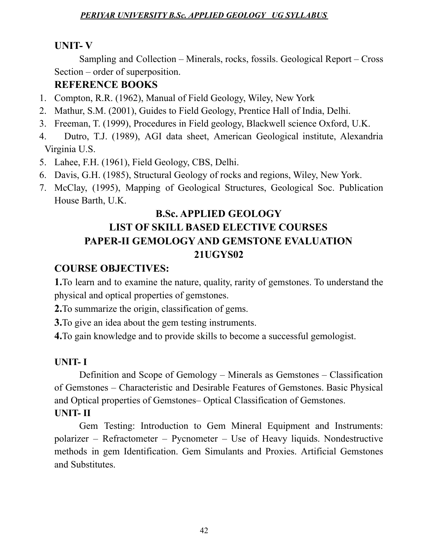# **UNIT- V**

Sampling and Collection – Minerals, rocks, fossils. Geological Report – Cross Section – order of superposition.

# **REFERENCE BOOKS**

- 1. Compton, R.R. (1962), Manual of Field Geology, Wiley, New York
- 2. Mathur, S.M. (2001), Guides to Field Geology, Prentice Hall of India, Delhi.
- 3. Freeman, T. (1999), Procedures in Field geology, Blackwell science Oxford, U.K.
- 4. Dutro, T.J. (1989), AGI data sheet, American Geological institute, Alexandria Virginia U.S.
- 5. Lahee, F.H. (1961), Field Geology, CBS, Delhi.
- 6. Davis, G.H. (1985), Structural Geology of rocks and regions, Wiley, New York.
- 7. McClay, (1995), Mapping of Geological Structures, Geological Soc. Publication House Barth, U.K.

# **B.Sc. APPLIED GEOLOGY LIST OF SKILL BASED ELECTIVE COURSES PAPER-II GEMOLOGY AND GEMSTONE EVALUATION 21UGYS02**

# **COURSE OBJECTIVES:**

**1.**To learn and to examine the nature, quality, rarity of gemstones. To understand the physical and optical properties of gemstones.

**2.**To summarize the origin, classification of gems.

**3.**To give an idea about the gem testing instruments.

**4.**To gain knowledge and to provide skills to become a successful gemologist.

# **UNIT- I**

Definition and Scope of Gemology – Minerals as Gemstones – Classification of Gemstones – Characteristic and Desirable Features of Gemstones. Basic Physical and Optical properties of Gemstones– Optical Classification of Gemstones. **UNIT- II**

Gem Testing: Introduction to Gem Mineral Equipment and Instruments: polarizer – Refractometer – Pycnometer – Use of Heavy liquids. Nondestructive methods in gem Identification. Gem Simulants and Proxies. Artificial Gemstones and Substitutes.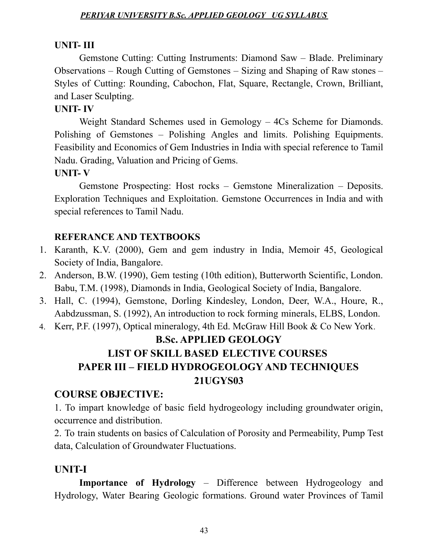#### **UNIT- III**

Gemstone Cutting: Cutting Instruments: Diamond Saw – Blade. Preliminary Observations – Rough Cutting of Gemstones – Sizing and Shaping of Raw stones – Styles of Cutting: Rounding, Cabochon, Flat, Square, Rectangle, Crown, Brilliant, and Laser Sculpting.

#### **UNIT- IV**

Weight Standard Schemes used in Gemology – 4Cs Scheme for Diamonds. Polishing of Gemstones – Polishing Angles and limits. Polishing Equipments. Feasibility and Economics of Gem Industries in India with special reference to Tamil Nadu. Grading, Valuation and Pricing of Gems.

#### **UNIT- V**

Gemstone Prospecting: Host rocks – Gemstone Mineralization – Deposits. Exploration Techniques and Exploitation. Gemstone Occurrences in India and with special references to Tamil Nadu.

#### **REFERANCE AND TEXTBOOKS**

- 1. Karanth, K.V. (2000), Gem and gem industry in India, Memoir 45, Geological Society of India, Bangalore.
- 2. Anderson, B.W. (1990), Gem testing (10th edition), Butterworth Scientific, London. Babu, T.M. (1998), Diamonds in India, Geological Society of India, Bangalore.
- 3. Hall, C. (1994), Gemstone, Dorling Kindesley, London, Deer, W.A., Houre, R., Aabdzussman, S. (1992), An introduction to rock forming minerals, ELBS, London.
- 4. Kerr, P.F. (1997), Optical mineralogy, 4th Ed. McGraw Hill Book & Co New York.

# **B.Sc. APPLIED GEOLOGY LIST OF SKILL BASED ELECTIVE COURSES PAPER III – FIELD HYDROGEOLOGY AND TECHNIQUES 21UGYS03**

#### **COURSE OBJECTIVE:**

1. To impart knowledge of basic field hydrogeology including groundwater origin, occurrence and distribution.

2. To train students on basics of Calculation of Porosity and Permeability, Pump Test data, Calculation of Groundwater Fluctuations.

#### **UNIT-I**

**Importance of Hydrology** – Difference between Hydrogeology and Hydrology, Water Bearing Geologic formations. Ground water Provinces of Tamil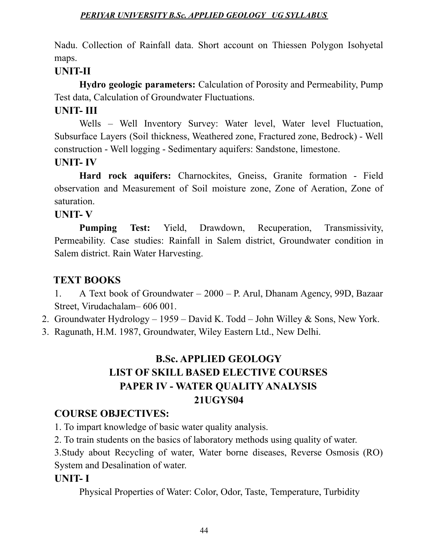Nadu. Collection of Rainfall data. Short account on Thiessen Polygon Isohyetal maps.

# **UNIT-II**

**Hydro geologic parameters:** Calculation of Porosity and Permeability, Pump Test data, Calculation of Groundwater Fluctuations.

# **UNIT- III**

Wells – Well Inventory Survey: Water level, Water level Fluctuation, Subsurface Layers (Soil thickness, Weathered zone, Fractured zone, Bedrock) - Well construction - Well logging - Sedimentary aquifers: Sandstone, limestone.

### **UNIT- IV**

**Hard rock aquifers:** Charnockites, Gneiss, Granite formation - Field observation and Measurement of Soil moisture zone, Zone of Aeration, Zone of saturation.

### **UNIT- V**

**Pumping Test:** Yield, Drawdown, Recuperation, Transmissivity, Permeability. Case studies: Rainfall in Salem district, Groundwater condition in Salem district. Rain Water Harvesting.

# **TEXT BOOKS**

1. A Text book of Groundwater – 2000 – P. Arul, Dhanam Agency, 99D, Bazaar Street, Virudachalam– 606 001.

2. Groundwater Hydrology – 1959 – David K. Todd – John Willey & Sons, New York.

3. Ragunath, H.M. 1987, Groundwater, Wiley Eastern Ltd., New Delhi.

# **B.Sc. APPLIED GEOLOGY LIST OF SKILL BASED ELECTIVE COURSES PAPER IV - WATER QUALITY ANALYSIS 21UGYS04**

# **COURSE OBJECTIVES:**

1. To impart knowledge of basic water quality analysis.

2. To train students on the basics of laboratory methods using quality of water.

3.Study about Recycling of water, Water borne diseases, Reverse Osmosis (RO) System and Desalination of water.

# **UNIT- I**

Physical Properties of Water: Color, Odor, Taste, Temperature, Turbidity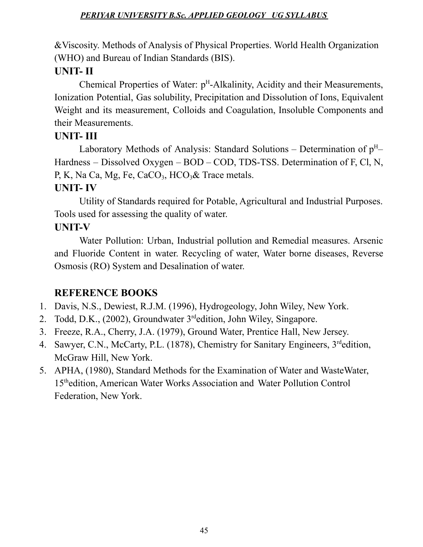&Viscosity. Methods of Analysis of Physical Properties. World Health Organization (WHO) and Bureau of Indian Standards (BIS).

# **UNIT- II**

Chemical Properties of Water: p<sup>H</sup>-Alkalinity, Acidity and their Measurements, Ionization Potential, Gas solubility, Precipitation and Dissolution of Ions, Equivalent Weight and its measurement, Colloids and Coagulation, Insoluble Components and their Measurements.

# **UNIT- III**

Laboratory Methods of Analysis: Standard Solutions – Determination of  $p^H$ – Hardness – Dissolved Oxygen – BOD – COD, TDS-TSS. Determination of F, Cl, N, P, K, Na Ca, Mg, Fe, CaCO<sub>3</sub>, HCO<sub>3</sub>& Trace metals.

# **UNIT- IV**

Utility of Standards required for Potable, Agricultural and Industrial Purposes. Tools used for assessing the quality of water.

# **UNIT-V**

Water Pollution: Urban, Industrial pollution and Remedial measures. Arsenic and Fluoride Content in water. Recycling of water, Water borne diseases, Reverse Osmosis (RO) System and Desalination of water.

# **REFERENCE BOOKS**

- 1. Davis, N.S., Dewiest, R.J.M. (1996), Hydrogeology, John Wiley, New York.
- 2. Todd, D.K., (2002), Groundwater 3<sup>rd</sup>edition, John Wiley, Singapore.
- 3. Freeze, R.A., Cherry, J.A. (1979), Ground Water, Prentice Hall, New Jersey.
- 4. Sawyer, C.N., McCarty, P.L. (1878), Chemistry for Sanitary Engineers, 3<sup>rd</sup>edition, McGraw Hill, New York.
- 5. APHA, (1980), Standard Methods for the Examination of Water and WasteWater, 15 thedition, American Water Works Association and Water Pollution Control Federation, New York.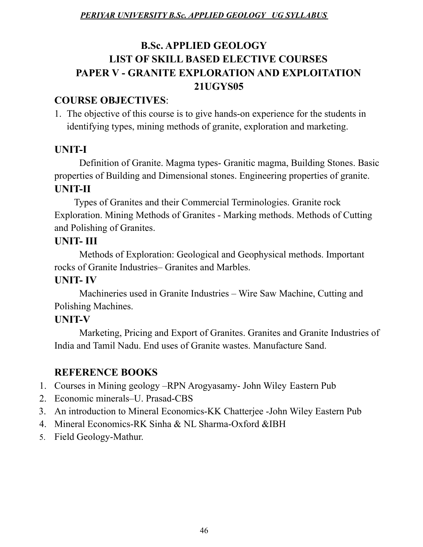# **B.Sc. APPLIED GEOLOGY LIST OF SKILL BASED ELECTIVE COURSES PAPER V - GRANITE EXPLORATION AND EXPLOITATION 21UGYS05**

# **COURSE OBJECTIVES**:

1. The objective of this course is to give hands-on experience for the students in identifying types, mining methods of granite, exploration and marketing.

# **UNIT-I**

Definition of Granite. Magma types- Granitic magma, Building Stones. Basic properties of Building and Dimensional stones. Engineering properties of granite. **UNIT-II**

Types of Granites and their Commercial Terminologies. Granite rock Exploration. Mining Methods of Granites - Marking methods. Methods of Cutting and Polishing of Granites.

# **UNIT- III**

Methods of Exploration: Geological and Geophysical methods. Important rocks of Granite Industries– Granites and Marbles.

# **UNIT- IV**

Machineries used in Granite Industries – Wire Saw Machine, Cutting and Polishing Machines.

# **UNIT-V**

Marketing, Pricing and Export of Granites. Granites and Granite Industries of India and Tamil Nadu. End uses of Granite wastes. Manufacture Sand.

# **REFERENCE BOOKS**

- 1. Courses in Mining geology –RPN Arogyasamy- John Wiley Eastern Pub
- 2. Economic minerals–U. Prasad-CBS
- 3. An introduction to Mineral Economics-KK Chatterjee -John Wiley Eastern Pub
- 4. Mineral Economics-RK Sinha & NL Sharma-Oxford &IBH
- 5. Field Geology-Mathur.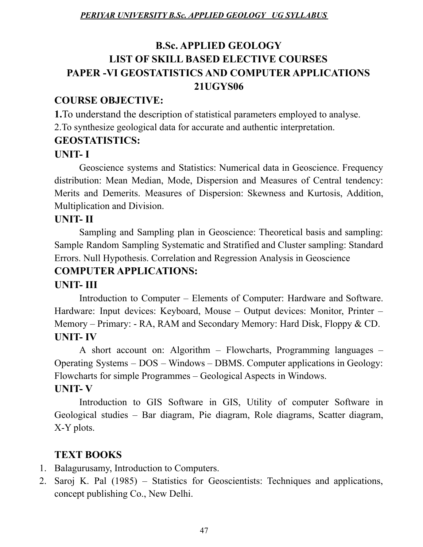# **B.Sc. APPLIED GEOLOGY LIST OF SKILL BASED ELECTIVE COURSES PAPER -VI GEOSTATISTICS AND COMPUTER APPLICATIONS 21UGYS06**

# **COURSE OBJECTIVE:**

**1.**To understand the description of statistical parameters employed to analyse. 2.To synthesize geological data for accurate and authentic interpretation.

# **GEOSTATISTICS:**

# **UNIT- I**

Geoscience systems and Statistics: Numerical data in Geoscience. Frequency distribution: Mean Median, Mode, Dispersion and Measures of Central tendency: Merits and Demerits. Measures of Dispersion: Skewness and Kurtosis, Addition, Multiplication and Division.

# **UNIT- II**

Sampling and Sampling plan in Geoscience: Theoretical basis and sampling: Sample Random Sampling Systematic and Stratified and Cluster sampling: Standard Errors. Null Hypothesis. Correlation and Regression Analysis in Geoscience

# **COMPUTER APPLICATIONS:**

# **UNIT- III**

Introduction to Computer – Elements of Computer: Hardware and Software. Hardware: Input devices: Keyboard, Mouse – Output devices: Monitor, Printer – Memory – Primary: - RA, RAM and Secondary Memory: Hard Disk, Floppy & CD. **UNIT- IV**

A short account on: Algorithm – Flowcharts, Programming languages – Operating Systems – DOS – Windows – DBMS. Computer applications in Geology: Flowcharts for simple Programmes – Geological Aspects in Windows. **UNIT- V**

# Introduction to GIS Software in GIS, Utility of computer Software in Geological studies – Bar diagram, Pie diagram, Role diagrams, Scatter diagram, X-Y plots.

# **TEXT BOOKS**

- 1. Balagurusamy, Introduction to Computers.
- 2. Saroj K. Pal (1985) Statistics for Geoscientists: Techniques and applications, concept publishing Co., New Delhi.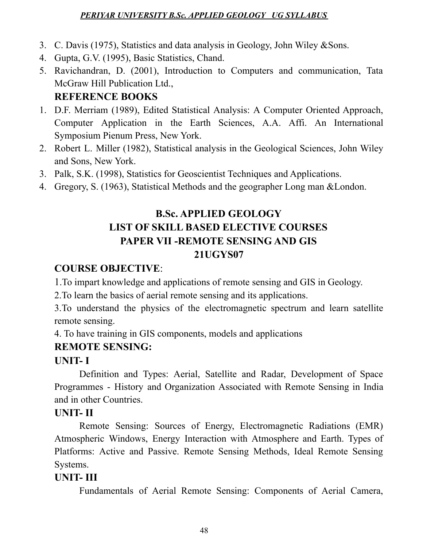- 3. C. Davis (1975), Statistics and data analysis in Geology, John Wiley &Sons.
- 4. Gupta, G.V. (1995), Basic Statistics, Chand.
- 5. Ravichandran, D. (2001), Introduction to Computers and communication, Tata McGraw Hill Publication Ltd., **REFERENCE BOOKS**

# 1. D.F. Merriam (1989), Edited Statistical Analysis: A Computer Oriented Approach, Computer Application in the Earth Sciences, A.A. Affi. An International Symposium Pienum Press, New York.

- 2. Robert L. Miller (1982), Statistical analysis in the Geological Sciences, John Wiley and Sons, New York.
- 3. Palk, S.K. (1998), Statistics for Geoscientist Techniques and Applications.
- 4. Gregory, S. (1963), Statistical Methods and the geographer Long man &London.

# **B.Sc. APPLIED GEOLOGY LIST OF SKILL BASED ELECTIVE COURSES PAPER VII -REMOTE SENSING AND GIS 21UGYS07**

# **COURSE OBJECTIVE**:

1.To impart knowledge and applications of remote sensing and GIS in Geology.

2.To learn the basics of aerial remote sensing and its applications.

3.To understand the physics of the electromagnetic spectrum and learn satellite remote sensing.

4. To have training in GIS components, models and applications

# **REMOTE SENSING:**

# **UNIT- I**

Definition and Types: Aerial, Satellite and Radar, Development of Space Programmes - History and Organization Associated with Remote Sensing in India and in other Countries.

# **UNIT- II**

Remote Sensing: Sources of Energy, Electromagnetic Radiations (EMR) Atmospheric Windows, Energy Interaction with Atmosphere and Earth. Types of Platforms: Active and Passive. Remote Sensing Methods, Ideal Remote Sensing Systems.

# **UNIT- III**

Fundamentals of Aerial Remote Sensing: Components of Aerial Camera,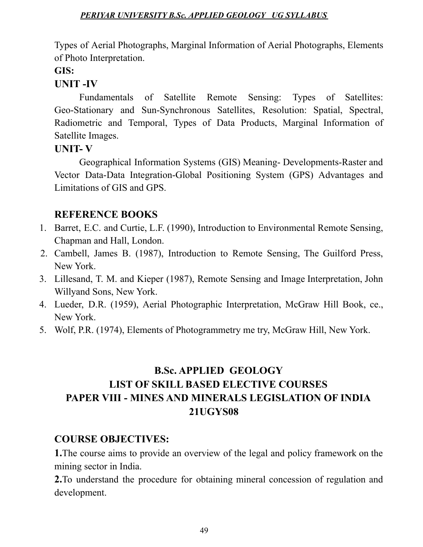Types of Aerial Photographs, Marginal Information of Aerial Photographs, Elements of Photo Interpretation.

#### **GIS:**

### **UNIT -IV**

Fundamentals of Satellite Remote Sensing: Types of Satellites: Geo-Stationary and Sun-Synchronous Satellites, Resolution: Spatial, Spectral, Radiometric and Temporal, Types of Data Products, Marginal Information of Satellite Images.

### **UNIT- V**

Geographical Information Systems (GIS) Meaning- Developments-Raster and Vector Data-Data Integration-Global Positioning System (GPS) Advantages and Limitations of GIS and GPS.

# **REFERENCE BOOKS**

- 1. Barret, E.C. and Curtie, L.F. (1990), Introduction to Environmental Remote Sensing, Chapman and Hall, London.
- 2. Cambell, James B. (1987), Introduction to Remote Sensing, The Guilford Press, New York.
- 3. Lillesand, T. M. and Kieper (1987), Remote Sensing and Image Interpretation, John Willyand Sons, New York.
- 4. Lueder, D.R. (1959), Aerial Photographic Interpretation, McGraw Hill Book, ce., New York.
- 5. Wolf, P.R. (1974), Elements of Photogrammetry me try, McGraw Hill, New York.

# **B.Sc. APPLIED GEOLOGY LIST OF SKILL BASED ELECTIVE COURSES PAPER VIII - MINES AND MINERALS LEGISLATION OF INDIA 21UGYS08**

# **COURSE OBJECTIVES:**

**1.**The course aims to provide an overview of the legal and policy framework on the mining sector in India.

**2.**To understand the procedure for obtaining mineral concession of regulation and development.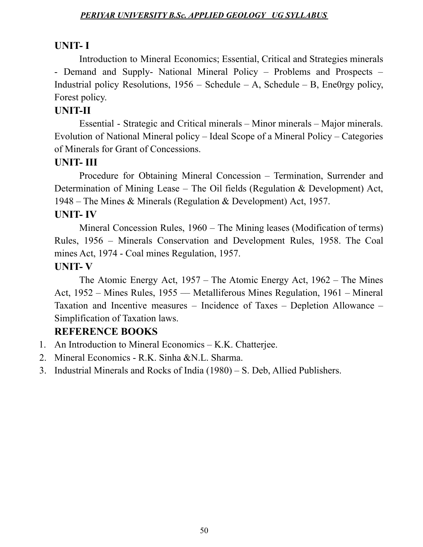### **UNIT- I**

Introduction to Mineral Economics; Essential, Critical and Strategies minerals - Demand and Supply- National Mineral Policy – Problems and Prospects – Industrial policy Resolutions,  $1956$  – Schedule – A, Schedule – B, Ene0rgy policy, Forest policy.

# **UNIT-II**

Essential - Strategic and Critical minerals – Minor minerals – Major minerals. Evolution of National Mineral policy – Ideal Scope of a Mineral Policy – Categories of Minerals for Grant of Concessions.

# **UNIT- III**

Procedure for Obtaining Mineral Concession – Termination, Surrender and Determination of Mining Lease – The Oil fields (Regulation & Development) Act, 1948 – The Mines & Minerals (Regulation & Development) Act, 1957.

# **UNIT- IV**

Mineral Concession Rules, 1960 – The Mining leases (Modification of terms) Rules, 1956 – Minerals Conservation and Development Rules, 1958. The Coal mines Act, 1974 - Coal mines Regulation, 1957.

### **UNIT- V**

The Atomic Energy Act, 1957 – The Atomic Energy Act, 1962 – The Mines Act, 1952 – Mines Rules, 1955 –– Metalliferous Mines Regulation, 1961 – Mineral Taxation and Incentive measures – Incidence of Taxes – Depletion Allowance – Simplification of Taxation laws.

# **REFERENCE BOOKS**

- 1. An Introduction to Mineral Economics K.K. Chatterjee.
- 2. Mineral Economics R.K. Sinha &N.L. Sharma.
- 3. Industrial Minerals and Rocks of India (1980) S. Deb, Allied Publishers.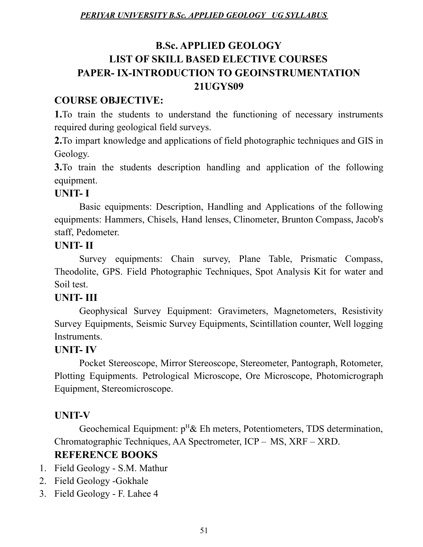# **B.Sc. APPLIED GEOLOGY LIST OF SKILL BASED ELECTIVE COURSES PAPER- IX-INTRODUCTION TO GEOINSTRUMENTATION 21UGYS09**

# **COURSE OBJECTIVE:**

**1.**To train the students to understand the functioning of necessary instruments required during geological field surveys.

**2.**To impart knowledge and applications of field photographic techniques and GIS in Geology.

**3.**To train the students description handling and application of the following equipment.

# **UNIT- I**

Basic equipments: Description, Handling and Applications of the following equipments: Hammers, Chisels, Hand lenses, Clinometer, Brunton Compass, Jacob's staff, Pedometer.

# **UNIT- II**

Survey equipments: Chain survey, Plane Table, Prismatic Compass, Theodolite, GPS. Field Photographic Techniques, Spot Analysis Kit for water and Soil test.

# **UNIT- III**

Geophysical Survey Equipment: Gravimeters, Magnetometers, Resistivity Survey Equipments, Seismic Survey Equipments, Scintillation counter, Well logging Instruments.

# **UNIT- IV**

Pocket Stereoscope, Mirror Stereoscope, Stereometer, Pantograph, Rotometer, Plotting Equipments. Petrological Microscope, Ore Microscope, Photomicrograph Equipment, Stereomicroscope.

# **UNIT-V**

Geochemical Equipment:  $p^H$ & Eh meters, Potentiometers, TDS determination, Chromatographic Techniques, AA Spectrometer, ICP – MS, XRF – XRD.

# **REFERENCE BOOKS**

- 1. Field Geology S.M. Mathur
- 2. Field Geology -Gokhale
- 3. Field Geology F. Lahee 4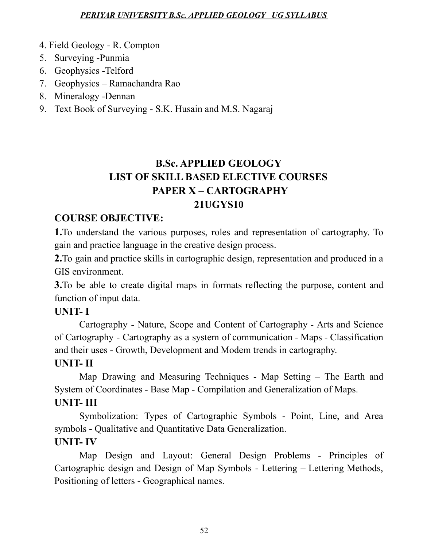- 4. Field Geology R. Compton
- 5. Surveying -Punmia
- 6. Geophysics -Telford
- 7. Geophysics Ramachandra Rao
- 8. Mineralogy -Dennan
- 9. Text Book of Surveying S.K. Husain and M.S. Nagaraj

# **B.Sc. APPLIED GEOLOGY LIST OF SKILL BASED ELECTIVE COURSES PAPER X – CARTOGRAPHY 21UGYS10**

# **COURSE OBJECTIVE:**

**1.**To understand the various purposes, roles and representation of cartography. To gain and practice language in the creative design process.

**2.**To gain and practice skills in cartographic design, representation and produced in a GIS environment.

**3.**To be able to create digital maps in formats reflecting the purpose, content and function of input data.

# **UNIT- I**

Cartography - Nature, Scope and Content of Cartography - Arts and Science of Cartography - Cartography as a system of communication - Maps - Classification and their uses - Growth, Development and Modem trends in cartography.

#### **UNIT- II**

Map Drawing and Measuring Techniques - Map Setting – The Earth and System of Coordinates - Base Map - Compilation and Generalization of Maps.

# **UNIT- III**

Symbolization: Types of Cartographic Symbols - Point, Line, and Area symbols - Qualitative and Quantitative Data Generalization.

# **UNIT- IV**

Map Design and Layout: General Design Problems - Principles of Cartographic design and Design of Map Symbols - Lettering – Lettering Methods, Positioning of letters - Geographical names.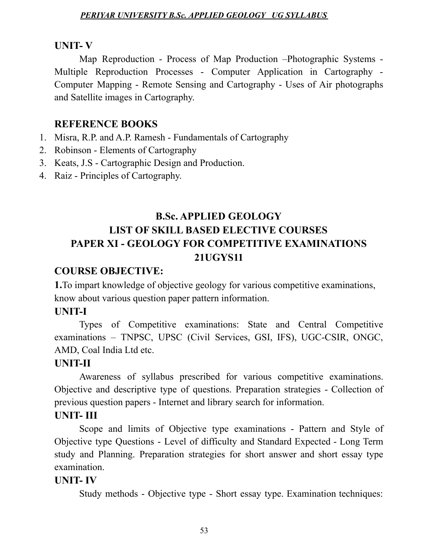#### **UNIT- V**

Map Reproduction - Process of Map Production –Photographic Systems - Multiple Reproduction Processes - Computer Application in Cartography - Computer Mapping - Remote Sensing and Cartography - Uses of Air photographs and Satellite images in Cartography.

### **REFERENCE BOOKS**

- 1. Misra, R.P. and A.P. Ramesh Fundamentals of Cartography
- 2. Robinson Elements of Cartography
- 3. Keats, J.S Cartographic Design and Production.
- 4. Raiz Principles of Cartography.

# **B.Sc. APPLIED GEOLOGY LIST OF SKILL BASED ELECTIVE COURSES PAPER XI - GEOLOGY FOR COMPETITIVE EXAMINATIONS 21UGYS11**

# **COURSE OBJECTIVE:**

**1.**To impart knowledge of objective geology for various competitive examinations, know about various question paper pattern information.

#### **UNIT-I**

Types of Competitive examinations: State and Central Competitive examinations – TNPSC, UPSC (Civil Services, GSI, IFS), UGC-CSIR, ONGC, AMD, Coal India Ltd etc.

#### **UNIT-II**

Awareness of syllabus prescribed for various competitive examinations. Objective and descriptive type of questions. Preparation strategies - Collection of previous question papers - Internet and library search for information.

#### **UNIT- III**

Scope and limits of Objective type examinations - Pattern and Style of Objective type Questions - Level of difficulty and Standard Expected - Long Term study and Planning. Preparation strategies for short answer and short essay type examination.

#### **UNIT- IV**

Study methods - Objective type - Short essay type. Examination techniques: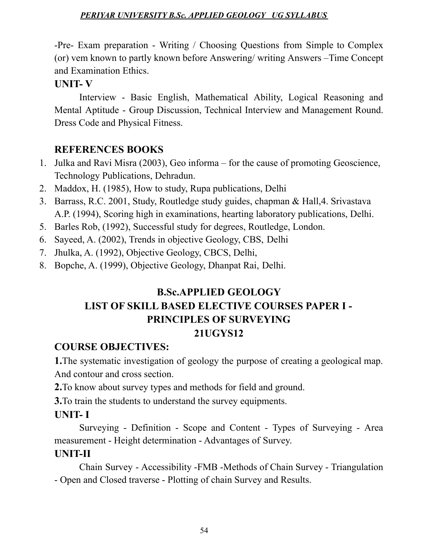-Pre- Exam preparation - Writing / Choosing Questions from Simple to Complex (or) vem known to partly known before Answering/ writing Answers –Time Concept and Examination Ethics.

### **UNIT- V**

Interview - Basic English, Mathematical Ability, Logical Reasoning and Mental Aptitude - Group Discussion, Technical Interview and Management Round. Dress Code and Physical Fitness.

# **REFERENCES BOOKS**

- 1. Julka and Ravi Misra (2003), Geo informa for the cause of promoting Geoscience, Technology Publications, Dehradun.
- 2. Maddox, H. (1985), How to study, Rupa publications, Delhi
- 3. Barrass, R.C. 2001, Study, Routledge study guides, chapman & Hall,4. Srivastava A.P. (1994), Scoring high in examinations, hearting laboratory publications, Delhi.
- 5. Barles Rob, (1992), Successful study for degrees, Routledge, London.
- 6. Sayeed, A. (2002), Trends in objective Geology, CBS, Delhi
- 7. Jhulka, A. (1992), Objective Geology, CBCS, Delhi,
- 8. Bopche, A. (1999), Objective Geology, Dhanpat Rai, Delhi.

# **B.Sc.APPLIED GEOLOGY LIST OF SKILL BASED ELECTIVE COURSES PAPER I - PRINCIPLES OF SURVEYING 21UGYS12**

# **COURSE OBJECTIVES:**

**1.**The systematic investigation of geology the purpose of creating a geological map. And contour and cross section.

- **2.**To know about survey types and methods for field and ground.
- **3.**To train the students to understand the survey equipments.

# **UNIT- I**

Surveying - Definition - Scope and Content - Types of Surveying - Area measurement - Height determination - Advantages of Survey.

# **UNIT-II**

Chain Survey - Accessibility -FMB -Methods of Chain Survey - Triangulation - Open and Closed traverse - Plotting of chain Survey and Results.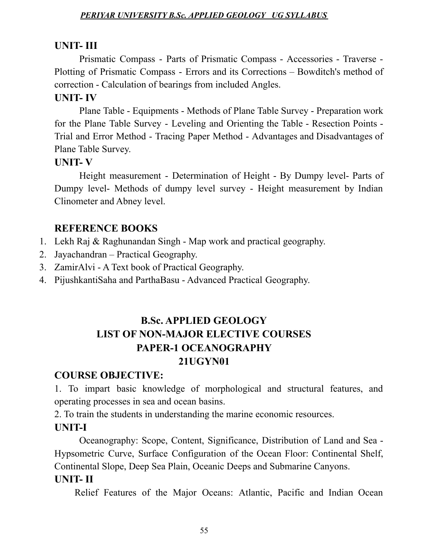### **UNIT- III**

Prismatic Compass - Parts of Prismatic Compass - Accessories - Traverse - Plotting of Prismatic Compass - Errors and its Corrections – Bowditch's method of correction - Calculation of bearings from included Angles.

# **UNIT- IV**

Plane Table - Equipments - Methods of Plane Table Survey - Preparation work for the Plane Table Survey - Leveling and Orienting the Table - Resection Points - Trial and Error Method - Tracing Paper Method - Advantages and Disadvantages of Plane Table Survey.

### **UNIT- V**

Height measurement - Determination of Height - By Dumpy level- Parts of Dumpy level- Methods of dumpy level survey - Height measurement by Indian Clinometer and Abney level.

# **REFERENCE BOOKS**

- 1. Lekh Raj & Raghunandan Singh Map work and practical geography.
- 2. Jayachandran Practical Geography.
- 3. ZamirAlvi A Text book of Practical Geography.
- 4. PijushkantiSaha and ParthaBasu Advanced Practical Geography.

# **B.Sc. APPLIED GEOLOGY LIST OF NON-MAJOR ELECTIVE COURSES PAPER-1 OCEANOGRAPHY 21UGYN01**

# **COURSE OBJECTIVE:**

1. To impart basic knowledge of morphological and structural features, and operating processes in sea and ocean basins.

2. To train the students in understanding the marine economic resources.

# **UNIT-I**

Oceanography: Scope, Content, Significance, Distribution of Land and Sea - Hypsometric Curve, Surface Configuration of the Ocean Floor: Continental Shelf, Continental Slope, Deep Sea Plain, Oceanic Deeps and Submarine Canyons. **UNIT- II**

Relief Features of the Major Oceans: Atlantic, Pacific and Indian Ocean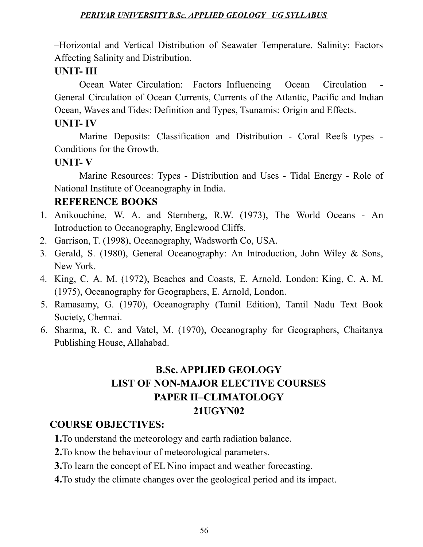–Horizontal and Vertical Distribution of Seawater Temperature. Salinity: Factors Affecting Salinity and Distribution.

# **UNIT- III**

Ocean Water Circulation: Factors Influencing Ocean Circulation General Circulation of Ocean Currents, Currents of the Atlantic, Pacific and Indian Ocean, Waves and Tides: Definition and Types, Tsunamis: Origin and Effects.

# **UNIT- IV**

Marine Deposits: Classification and Distribution - Coral Reefs types - Conditions for the Growth.

# **UNIT- V**

Marine Resources: Types - Distribution and Uses - Tidal Energy - Role of National Institute of Oceanography in India.

# **REFERENCE BOOKS**

- 1. Anikouchine, W. A. and Sternberg, R.W. (1973), The World Oceans An Introduction to Oceanography, Englewood Cliffs.
- 2. Garrison, T. (1998), Oceanography, Wadsworth Co, USA.
- 3. Gerald, S. (1980), General Oceanography: An Introduction, John Wiley & Sons, New York.
- 4. King, C. A. M. (1972), Beaches and Coasts, E. Arnold, London: King, C. A. M. (1975), Oceanography for Geographers, E. Arnold, London.
- 5. Ramasamy, G. (1970), Oceanography (Tamil Edition), Tamil Nadu Text Book Society, Chennai.
- 6. Sharma, R. C. and Vatel, M. (1970), Oceanography for Geographers, Chaitanya Publishing House, Allahabad.

# **B.Sc. APPLIED GEOLOGY LIST OF NON-MAJOR ELECTIVE COURSES PAPER II–CLIMATOLOGY 21UGYN02**

# **COURSE OBJECTIVES:**

**1.**To understand the meteorology and earth radiation balance.

- **2.**To know the behaviour of meteorological parameters.
- **3.**To learn the concept of EL Nino impact and weather forecasting.
- **4.**To study the climate changes over the geological period and its impact.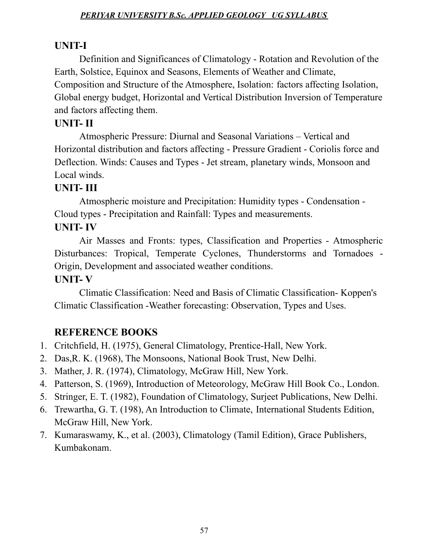### **UNIT-I**

Definition and Significances of Climatology - Rotation and Revolution of the Earth, Solstice, Equinox and Seasons, Elements of Weather and Climate, Composition and Structure of the Atmosphere, Isolation: factors affecting Isolation, Global energy budget, Horizontal and Vertical Distribution Inversion of Temperature and factors affecting them.

# **UNIT- II**

Atmospheric Pressure: Diurnal and Seasonal Variations – Vertical and Horizontal distribution and factors affecting - Pressure Gradient - Coriolis force and Deflection. Winds: Causes and Types - Jet stream, planetary winds, Monsoon and Local winds.

### **UNIT- III**

Atmospheric moisture and Precipitation: Humidity types - Condensation - Cloud types - Precipitation and Rainfall: Types and measurements. **UNIT- IV**

Air Masses and Fronts: types, Classification and Properties - Atmospheric Disturbances: Tropical, Temperate Cyclones, Thunderstorms and Tornadoes - Origin, Development and associated weather conditions.

#### **UNIT- V**

Climatic Classification: Need and Basis of Climatic Classification- Koppen's Climatic Classification -Weather forecasting: Observation, Types and Uses.

# **REFERENCE BOOKS**

- 1. Critchfield, H. (1975), General Climatology, Prentice-Hall, New York.
- 2. Das,R. K. (1968), The Monsoons, National Book Trust, New Delhi.
- 3. Mather, J. R. (1974), Climatology, McGraw Hill, New York.
- 4. Patterson, S. (1969), Introduction of Meteorology, McGraw Hill Book Co., London.
- 5. Stringer, E. T. (1982), Foundation of Climatology, Surjeet Publications, New Delhi.
- 6. Trewartha, G. T. (198), An Introduction to Climate, International Students Edition, McGraw Hill, New York.
- 7. Kumaraswamy, K., et al. (2003), Climatology (Tamil Edition), Grace Publishers, Kumbakonam.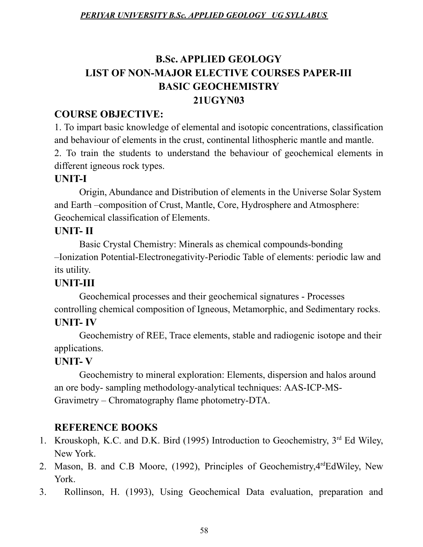# **B.Sc. APPLIED GEOLOGY LIST OF NON-MAJOR ELECTIVE COURSES PAPER-III BASIC GEOCHEMISTRY 21UGYN03**

# **COURSE OBJECTIVE:**

1. To impart basic knowledge of elemental and isotopic concentrations, classification and behaviour of elements in the crust, continental lithospheric mantle and mantle. 2. To train the students to understand the behaviour of geochemical elements in different igneous rock types.

# **UNIT-I**

Origin, Abundance and Distribution of elements in the Universe Solar System and Earth –composition of Crust, Mantle, Core, Hydrosphere and Atmosphere: Geochemical classification of Elements.

# **UNIT- II**

Basic Crystal Chemistry: Minerals as chemical compounds-bonding –Ionization Potential-Electronegativity-Periodic Table of elements: periodic law and its utility.

# **UNIT-III**

Geochemical processes and their geochemical signatures - Processes controlling chemical composition of Igneous, Metamorphic, and Sedimentary rocks. **UNIT- IV**

Geochemistry of REE, Trace elements, stable and radiogenic isotope and their applications.

# **UNIT- V**

Geochemistry to mineral exploration: Elements, dispersion and halos around an ore body- sampling methodology-analytical techniques: AAS-ICP-MS-Gravimetry – Chromatography flame photometry-DTA.

# **REFERENCE BOOKS**

- 1. Krouskoph, K.C. and D.K. Bird (1995) Introduction to Geochemistry, 3<sup>rd</sup> Ed Wiley, New York.
- 2. Mason, B. and C.B Moore, (1992), Principles of Geochemistry, 4<sup>rd</sup>EdWiley, New York.
- 3. Rollinson, H. (1993), Using Geochemical Data evaluation, preparation and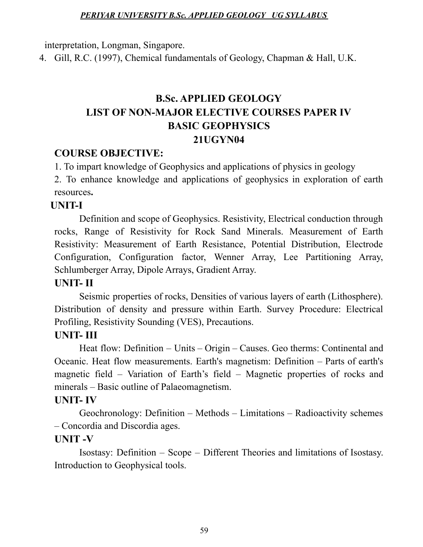interpretation, Longman, Singapore.

4. Gill, R.C. (1997), Chemical fundamentals of Geology, Chapman & Hall, U.K.

# **B.Sc. APPLIED GEOLOGY LIST OF NON-MAJOR ELECTIVE COURSES PAPER IV BASIC GEOPHYSICS 21UGYN04**

#### **COURSE OBJECTIVE:**

1. To impart knowledge of Geophysics and applications of physics in geology

2. To enhance knowledge and applications of geophysics in exploration of earth resources**.**

#### **UNIT-I**

Definition and scope of Geophysics. Resistivity, Electrical conduction through rocks, Range of Resistivity for Rock Sand Minerals. Measurement of Earth Resistivity: Measurement of Earth Resistance, Potential Distribution, Electrode Configuration, Configuration factor, Wenner Array, Lee Partitioning Array, Schlumberger Array, Dipole Arrays, Gradient Array.

### **UNIT- II**

Seismic properties of rocks, Densities of various layers of earth (Lithosphere). Distribution of density and pressure within Earth. Survey Procedure: Electrical Profiling, Resistivity Sounding (VES), Precautions.

# **UNIT- III**

Heat flow: Definition – Units – Origin – Causes. Geo therms: Continental and Oceanic. Heat flow measurements. Earth's magnetism: Definition – Parts of earth's magnetic field – Variation of Earth's field – Magnetic properties of rocks and minerals – Basic outline of Palaeomagnetism.

#### **UNIT- IV**

Geochronology: Definition – Methods – Limitations – Radioactivity schemes – Concordia and Discordia ages.

#### **UNIT -V**

Isostasy: Definition – Scope – Different Theories and limitations of Isostasy. Introduction to Geophysical tools.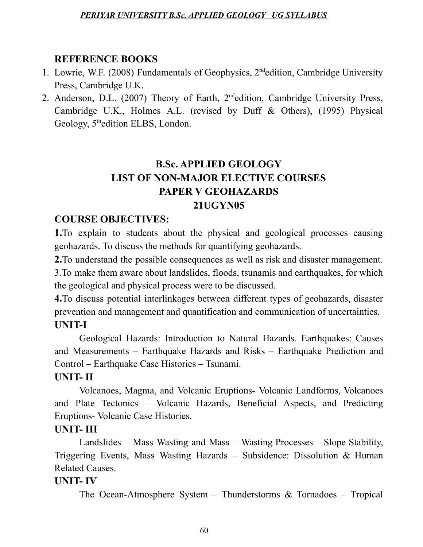### **REFERENCE BOOKS**

- 1. Lowrie, W.F. (2008) Fundamentals of Geophysics, 2<sup>nd</sup>edition, Cambridge University Press, Cambridge U.K.
- 2. Anderson, D.L. (2007) Theory of Earth, 2<sup>nd</sup>edition, Cambridge University Press, Cambridge U.K., Holmes A.L. (revised by Duff & Others), (1995) Physical Geology, 5<sup>th</sup>edition ELBS, London.

# **B.Sc. APPLIED GEOLOGY LIST OF NON-MAJOR ELECTIVE COURSES PAPER V GEOHAZARDS 21UGYN05**

# **COURSE OBJECTIVES:**

**1.**To explain to students about the physical and geological processes causing geohazards. To discuss the methods for quantifying geohazards.

**2.**To understand the possible consequences as well as risk and disaster management. 3.To make them aware about landslides, floods, tsunamis and earthquakes, for which the geological and physical process were to be discussed.

**4.**To discuss potential interlinkages between different types of geohazards, disaster prevention and management and quantification and communication of uncertainties. **UNIT-I**

Geological Hazards: Introduction to Natural Hazards. Earthquakes: Causes and Measurements – Earthquake Hazards and Risks – Earthquake Prediction and Control – Earthquake Case Histories – Tsunami.

#### **UNIT- II**

Volcanoes, Magma, and Volcanic Eruptions- Volcanic Landforms, Volcanoes and Plate Tectonics – Volcanic Hazards, Beneficial Aspects, and Predicting Eruptions- Volcanic Case Histories.

#### **UNIT- III**

Landslides – Mass Wasting and Mass – Wasting Processes – Slope Stability, Triggering Events, Mass Wasting Hazards – Subsidence: Dissolution & Human Related Causes.

#### **UNIT- IV**

The Ocean-Atmosphere System – Thunderstorms & Tornadoes – Tropical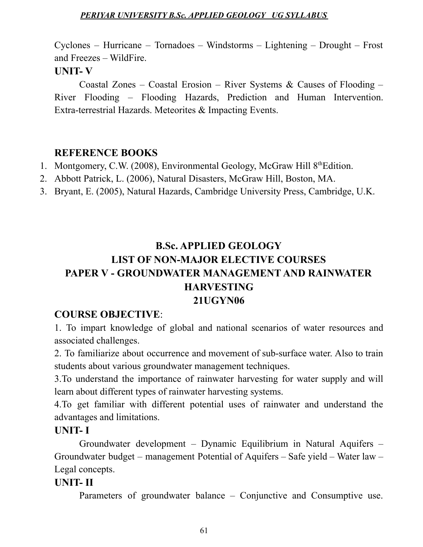Cyclones – Hurricane – Tornadoes – Windstorms – Lightening – Drought – Frost and Freezes – WildFire.

#### **UNIT- V**

Coastal Zones – Coastal Erosion – River Systems & Causes of Flooding – River Flooding – Flooding Hazards, Prediction and Human Intervention. Extra-terrestrial Hazards. Meteorites & Impacting Events.

### **REFERENCE BOOKS**

- 1. Montgomery, C.W. (2008), Environmental Geology, McGraw Hill 8<sup>th</sup>Edition.
- 2. Abbott Patrick, L. (2006), Natural Disasters, McGraw Hill, Boston, MA.
- 3. Bryant, E. (2005), Natural Hazards, Cambridge University Press, Cambridge, U.K.

# **B.Sc. APPLIED GEOLOGY LIST OF NON-MAJOR ELECTIVE COURSES PAPER V - GROUNDWATER MANAGEMENT AND RAINWATER HARVESTING 21UGYN06**

# **COURSE OBJECTIVE**:

1. To impart knowledge of global and national scenarios of water resources and associated challenges.

2. To familiarize about occurrence and movement of sub-surface water. Also to train students about various groundwater management techniques.

3.To understand the importance of rainwater harvesting for water supply and will learn about different types of rainwater harvesting systems.

4.To get familiar with different potential uses of rainwater and understand the advantages and limitations.

#### **UNIT- I**

Groundwater development – Dynamic Equilibrium in Natural Aquifers – Groundwater budget – management Potential of Aquifers – Safe yield – Water law – Legal concepts.

#### **UNIT- II**

Parameters of groundwater balance – Conjunctive and Consumptive use.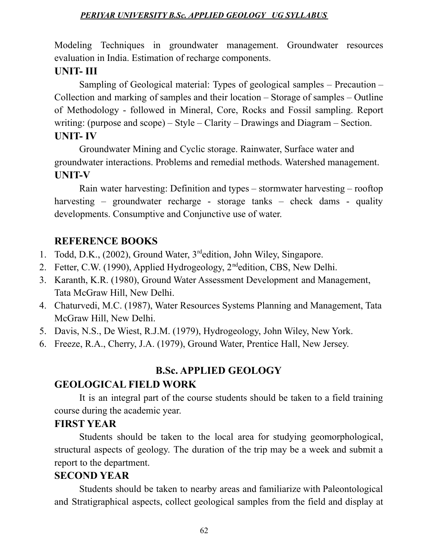Modeling Techniques in groundwater management. Groundwater resources evaluation in India. Estimation of recharge components.

### **UNIT- III**

Sampling of Geological material: Types of geological samples – Precaution – Collection and marking of samples and their location – Storage of samples – Outline of Methodology - followed in Mineral, Core, Rocks and Fossil sampling. Report writing: (purpose and scope) – Style – Clarity – Drawings and Diagram – Section. **UNIT- IV**

Groundwater Mining and Cyclic storage. Rainwater, Surface water and groundwater interactions. Problems and remedial methods. Watershed management. **UNIT-V**

Rain water harvesting: Definition and types – stormwater harvesting – rooftop harvesting – groundwater recharge - storage tanks – check dams - quality developments. Consumptive and Conjunctive use of water.

# **REFERENCE BOOKS**

- 1. Todd, D.K., (2002), Ground Water, 3 rdedition, John Wiley, Singapore.
- 2. Fetter, C.W. (1990), Applied Hydrogeology, 2<sup>nd</sup>edition, CBS, New Delhi.
- 3. Karanth, K.R. (1980), Ground Water Assessment Development and Management, Tata McGraw Hill, New Delhi.
- 4. Chaturvedi, M.C. (1987), Water Resources Systems Planning and Management, Tata McGraw Hill, New Delhi.
- 5. Davis, N.S., De Wiest, R.J.M. (1979), Hydrogeology, John Wiley, New York.
- 6. Freeze, R.A., Cherry, J.A. (1979), Ground Water, Prentice Hall, New Jersey.

# **B.Sc. APPLIED GEOLOGY**

# **GEOLOGICAL FIELD WORK**

It is an integral part of the course students should be taken to a field training course during the academic year.

#### **FIRST YEAR**

Students should be taken to the local area for studying geomorphological, structural aspects of geology. The duration of the trip may be a week and submit a report to the department.

# **SECOND YEAR**

Students should be taken to nearby areas and familiarize with Paleontological and Stratigraphical aspects, collect geological samples from the field and display at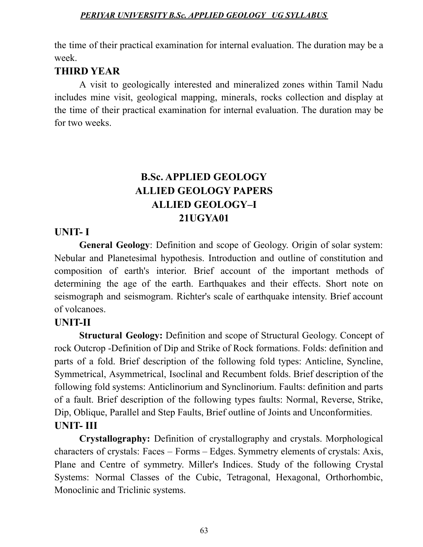the time of their practical examination for internal evaluation. The duration may be a week.

# **THIRD YEAR**

A visit to geologically interested and mineralized zones within Tamil Nadu includes mine visit, geological mapping, minerals, rocks collection and display at the time of their practical examination for internal evaluation. The duration may be for two weeks.

# **B.Sc. APPLIED GEOLOGY ALLIED GEOLOGY PAPERS ALLIED GEOLOGY–I 21UGYA01**

# **UNIT- I**

**General Geology**: Definition and scope of Geology. Origin of solar system: Nebular and Planetesimal hypothesis. Introduction and outline of constitution and composition of earth's interior. Brief account of the important methods of determining the age of the earth. Earthquakes and their effects. Short note on seismograph and seismogram. Richter's scale of earthquake intensity. Brief account of volcanoes.

# **UNIT-II**

**Structural Geology:** Definition and scope of Structural Geology. Concept of rock Outcrop -Definition of Dip and Strike of Rock formations. Folds: definition and parts of a fold. Brief description of the following fold types: Anticline, Syncline, Symmetrical, Asymmetrical, Isoclinal and Recumbent folds. Brief description of the following fold systems: Anticlinorium and Synclinorium. Faults: definition and parts of a fault. Brief description of the following types faults: Normal, Reverse, Strike, Dip, Oblique, Parallel and Step Faults, Brief outline of Joints and Unconformities. **UNIT- III**

**Crystallography:** Definition of crystallography and crystals. Morphological characters of crystals: Faces – Forms – Edges. Symmetry elements of crystals: Axis, Plane and Centre of symmetry. Miller's Indices. Study of the following Crystal Systems: Normal Classes of the Cubic, Tetragonal, Hexagonal, Orthorhombic, Monoclinic and Triclinic systems.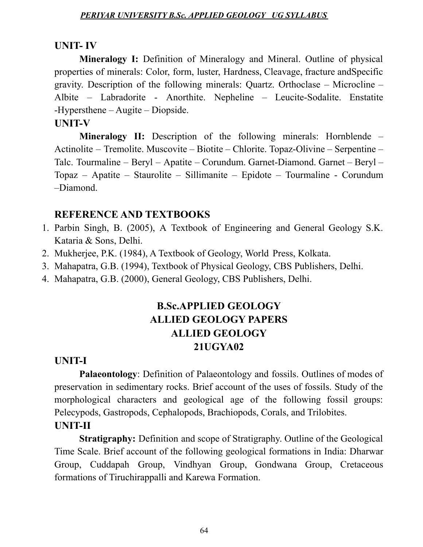#### **UNIT- IV**

**Mineralogy I:** Definition of Mineralogy and Mineral. Outline of physical properties of minerals: Color, form, luster, Hardness, Cleavage, fracture andSpecific gravity. Description of the following minerals: Quartz. Orthoclase – Microcline – Albite – Labradorite - Anorthite. Nepheline – Leucite-Sodalite. Enstatite -Hypersthene – Augite – Diopside.

#### **UNIT-V**

**Mineralogy II:** Description of the following minerals: Hornblende – Actinolite – Tremolite. Muscovite – Biotite – Chlorite. Topaz-Olivine – Serpentine – Talc. Tourmaline – Beryl – Apatite – Corundum. Garnet-Diamond. Garnet – Beryl – Topaz – Apatite – Staurolite – Sillimanite – Epidote – Tourmaline - Corundum –Diamond.

#### **REFERENCE AND TEXTBOOKS**

- 1. Parbin Singh, B. (2005), A Textbook of Engineering and General Geology S.K. Kataria & Sons, Delhi.
- 2. Mukherjee, P.K. (1984), A Textbook of Geology, World Press, Kolkata.
- 3. Mahapatra, G.B. (1994), Textbook of Physical Geology, CBS Publishers, Delhi.
- 4. Mahapatra, G.B. (2000), General Geology, CBS Publishers, Delhi.

# **B.Sc.APPLIED GEOLOGY ALLIED GEOLOGY PAPERS ALLIED GEOLOGY 21UGYA02**

#### **UNIT-I**

**Palaeontology**: Definition of Palaeontology and fossils. Outlines of modes of preservation in sedimentary rocks. Brief account of the uses of fossils. Study of the morphological characters and geological age of the following fossil groups: Pelecypods, Gastropods, Cephalopods, Brachiopods, Corals, and Trilobites.

#### **UNIT-II**

**Stratigraphy:** Definition and scope of Stratigraphy. Outline of the Geological Time Scale. Brief account of the following geological formations in India: Dharwar Group, Cuddapah Group, Vindhyan Group, Gondwana Group, Cretaceous formations of Tiruchirappalli and Karewa Formation.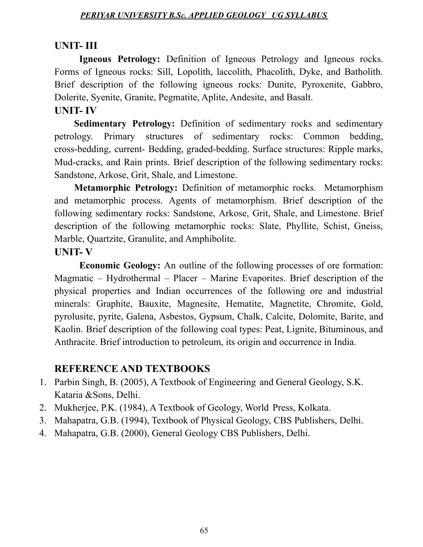#### **UNIT- III**

**Igneous Petrology:** Definition of Igneous Petrology and Igneous rocks. Forms of Igneous rocks: Sill, Lopolith, laccolith, Phacolith, Dyke, and Batholith. Brief description of the following igneous rocks: Dunite, Pyroxenite, Gabbro, Dolerite, Syenite, Granite, Pegmatite, Aplite, Andesite, and Basalt.

# **UNIT- IV**

**Sedimentary Petrology:** Definition of sedimentary rocks and sedimentary petrology. Primary structures of sedimentary rocks: Common bedding, cross-bedding, current- Bedding, graded-bedding. Surface structures: Ripple marks, Mud-cracks, and Rain prints. Brief description of the following sedimentary rocks: Sandstone, Arkose, Grit, Shale, and Limestone.

**Metamorphic Petrology:** Definition of metamorphic rocks. Metamorphism and metamorphic process. Agents of metamorphism. Brief description of the following sedimentary rocks: Sandstone, Arkose, Grit, Shale, and Limestone. Brief description of the following metamorphic rocks: Slate, Phyllite, Schist, Gneiss, Marble, Quartzite, Granulite, and Amphibolite.

#### **UNIT- V**

**Economic Geology:** An outline of the following processes of ore formation: Magmatic – Hydrothermal – Placer – Marine Evaporites. Brief description of the physical properties and Indian occurrences of the following ore and industrial minerals: Graphite, Bauxite, Magnesite, Hematite, Magnetite, Chromite, Gold, pyrolusite, pyrite, Galena, Asbestos, Gypsum, Chalk, Calcite, Dolomite, Barite, and Kaolin. Brief description of the following coal types: Peat, Lignite, Bituminous, and Anthracite. Brief introduction to petroleum, its origin and occurrence in India.

#### **REFERENCE AND TEXTBOOKS**

- 1. Parbin Singh, B. (2005), A Textbook of Engineering and General Geology, S.K. Kataria &Sons, Delhi.
- 2. Mukherjee, P.K. (1984), A Textbook of Geology, World Press, Kolkata.
- 3. Mahapatra, G.B. (1994), Textbook of Physical Geology, CBS Publishers, Delhi.
- 4. Mahapatra, G.B. (2000), General Geology CBS Publishers, Delhi.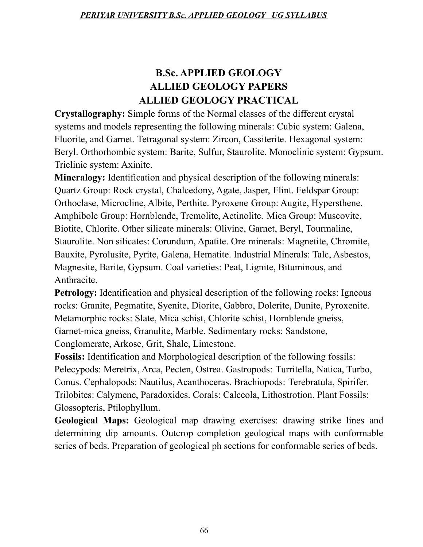# **B.Sc. APPLIED GEOLOGY ALLIED GEOLOGY PAPERS ALLIED GEOLOGY PRACTICAL**

**Crystallography:** Simple forms of the Normal classes of the different crystal systems and models representing the following minerals: Cubic system: Galena, Fluorite, and Garnet. Tetragonal system: Zircon, Cassiterite. Hexagonal system: Beryl. Orthorhombic system: Barite, Sulfur, Staurolite. Monoclinic system: Gypsum. Triclinic system: Axinite.

**Mineralogy:** Identification and physical description of the following minerals: Quartz Group: Rock crystal, Chalcedony, Agate, Jasper, Flint. Feldspar Group: Orthoclase, Microcline, Albite, Perthite. Pyroxene Group: Augite, Hypersthene. Amphibole Group: Hornblende, Tremolite, Actinolite. Mica Group: Muscovite, Biotite, Chlorite. Other silicate minerals: Olivine, Garnet, Beryl, Tourmaline, Staurolite. Non silicates: Corundum, Apatite. Ore minerals: Magnetite, Chromite, Bauxite, Pyrolusite, Pyrite, Galena, Hematite. Industrial Minerals: Talc, Asbestos, Magnesite, Barite, Gypsum. Coal varieties: Peat, Lignite, Bituminous, and Anthracite.

**Petrology:** Identification and physical description of the following rocks: Igneous rocks: Granite, Pegmatite, Syenite, Diorite, Gabbro, Dolerite, Dunite, Pyroxenite. Metamorphic rocks: Slate, Mica schist, Chlorite schist, Hornblende gneiss, Garnet-mica gneiss, Granulite, Marble. Sedimentary rocks: Sandstone, Conglomerate, Arkose, Grit, Shale, Limestone.

**Fossils:** Identification and Morphological description of the following fossils: Pelecypods: Meretrix, Arca, Pecten, Ostrea. Gastropods: Turritella, Natica, Turbo, Conus. Cephalopods: Nautilus, Acanthoceras. Brachiopods: Terebratula, Spirifer. Trilobites: Calymene, Paradoxides. Corals: Calceola, Lithostrotion. Plant Fossils: Glossopteris, Ptilophyllum.

**Geological Maps:** Geological map drawing exercises: drawing strike lines and determining dip amounts. Outcrop completion geological maps with conformable series of beds. Preparation of geological ph sections for conformable series of beds.